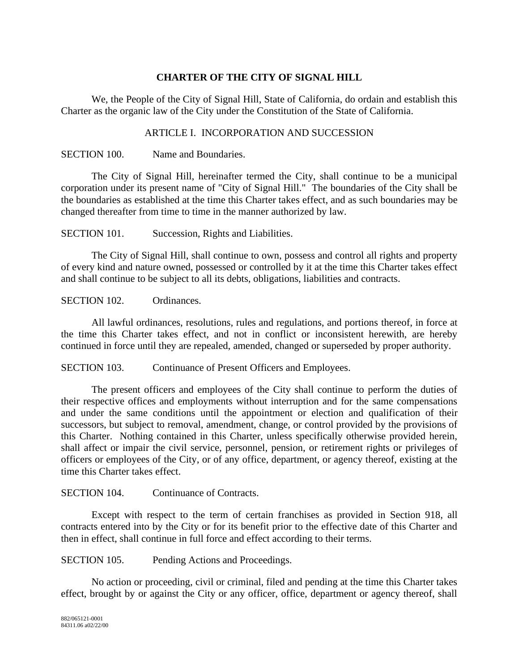## **CHARTER OF THE CITY OF SIGNAL HILL**

We, the People of the City of Signal Hill, State of California, do ordain and establish this Charter as the organic law of the City under the Constitution of the State of California.

#### ARTICLE I. INCORPORATION AND SUCCESSION

SECTION 100. Name and Boundaries.

The City of Signal Hill, hereinafter termed the City, shall continue to be a municipal corporation under its present name of "City of Signal Hill." The boundaries of the City shall be the boundaries as established at the time this Charter takes effect, and as such boundaries may be changed thereafter from time to time in the manner authorized by law.

SECTION 101. Succession, Rights and Liabilities.

The City of Signal Hill, shall continue to own, possess and control all rights and property of every kind and nature owned, possessed or controlled by it at the time this Charter takes effect and shall continue to be subject to all its debts, obligations, liabilities and contracts.

SECTION 102. Ordinances.

All lawful ordinances, resolutions, rules and regulations, and portions thereof, in force at the time this Charter takes effect, and not in conflict or inconsistent herewith, are hereby continued in force until they are repealed, amended, changed or superseded by proper authority.

SECTION 103. Continuance of Present Officers and Employees.

The present officers and employees of the City shall continue to perform the duties of their respective offices and employments without interruption and for the same compensations and under the same conditions until the appointment or election and qualification of their successors, but subject to removal, amendment, change, or control provided by the provisions of this Charter. Nothing contained in this Charter, unless specifically otherwise provided herein, shall affect or impair the civil service, personnel, pension, or retirement rights or privileges of officers or employees of the City, or of any office, department, or agency thereof, existing at the time this Charter takes effect.

#### SECTION 104. Continuance of Contracts.

Except with respect to the term of certain franchises as provided in Section 918, all contracts entered into by the City or for its benefit prior to the effective date of this Charter and then in effect, shall continue in full force and effect according to their terms.

SECTION 105. Pending Actions and Proceedings.

No action or proceeding, civil or criminal, filed and pending at the time this Charter takes effect, brought by or against the City or any officer, office, department or agency thereof, shall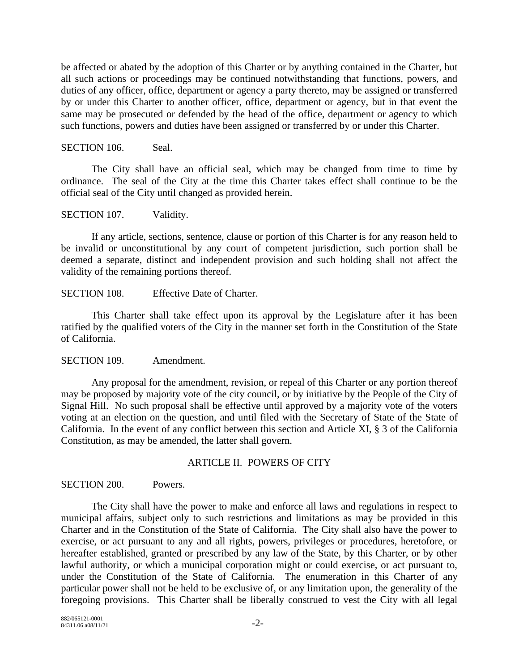be affected or abated by the adoption of this Charter or by anything contained in the Charter, but all such actions or proceedings may be continued notwithstanding that functions, powers, and duties of any officer, office, department or agency a party thereto, may be assigned or transferred by or under this Charter to another officer, office, department or agency, but in that event the same may be prosecuted or defended by the head of the office, department or agency to which such functions, powers and duties have been assigned or transferred by or under this Charter.

SECTION 106. Seal.

The City shall have an official seal, which may be changed from time to time by ordinance. The seal of the City at the time this Charter takes effect shall continue to be the official seal of the City until changed as provided herein.

SECTION 107. Validity.

If any article, sections, sentence, clause or portion of this Charter is for any reason held to be invalid or unconstitutional by any court of competent jurisdiction, such portion shall be deemed a separate, distinct and independent provision and such holding shall not affect the validity of the remaining portions thereof.

SECTION 108. Effective Date of Charter.

This Charter shall take effect upon its approval by the Legislature after it has been ratified by the qualified voters of the City in the manner set forth in the Constitution of the State of California.

SECTION 109. Amendment.

Any proposal for the amendment, revision, or repeal of this Charter or any portion thereof may be proposed by majority vote of the city council, or by initiative by the People of the City of Signal Hill. No such proposal shall be effective until approved by a majority vote of the voters voting at an election on the question, and until filed with the Secretary of State of the State of California. In the event of any conflict between this section and Article XI, § 3 of the California Constitution, as may be amended, the latter shall govern.

#### ARTICLE II. POWERS OF CITY

SECTION 200. Powers.

The City shall have the power to make and enforce all laws and regulations in respect to municipal affairs, subject only to such restrictions and limitations as may be provided in this Charter and in the Constitution of the State of California. The City shall also have the power to exercise, or act pursuant to any and all rights, powers, privileges or procedures, heretofore, or hereafter established, granted or prescribed by any law of the State, by this Charter, or by other lawful authority, or which a municipal corporation might or could exercise, or act pursuant to, under the Constitution of the State of California. The enumeration in this Charter of any particular power shall not be held to be exclusive of, or any limitation upon, the generality of the foregoing provisions. This Charter shall be liberally construed to vest the City with all legal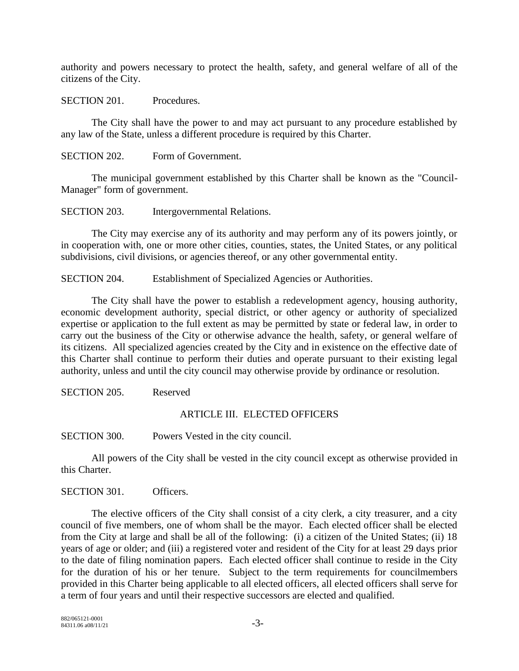authority and powers necessary to protect the health, safety, and general welfare of all of the citizens of the City.

SECTION 201. Procedures.

The City shall have the power to and may act pursuant to any procedure established by any law of the State, unless a different procedure is required by this Charter.

SECTION 202. Form of Government.

The municipal government established by this Charter shall be known as the "Council-Manager" form of government.

SECTION 203. Intergovernmental Relations.

The City may exercise any of its authority and may perform any of its powers jointly, or in cooperation with, one or more other cities, counties, states, the United States, or any political subdivisions, civil divisions, or agencies thereof, or any other governmental entity.

SECTION 204. Establishment of Specialized Agencies or Authorities.

The City shall have the power to establish a redevelopment agency, housing authority, economic development authority, special district, or other agency or authority of specialized expertise or application to the full extent as may be permitted by state or federal law, in order to carry out the business of the City or otherwise advance the health, safety, or general welfare of its citizens. All specialized agencies created by the City and in existence on the effective date of this Charter shall continue to perform their duties and operate pursuant to their existing legal authority, unless and until the city council may otherwise provide by ordinance or resolution.

SECTION 205. Reserved

#### ARTICLE III. ELECTED OFFICERS

SECTION 300. Powers Vested in the city council.

All powers of the City shall be vested in the city council except as otherwise provided in this Charter.

SECTION 301. Officers.

The elective officers of the City shall consist of a city clerk, a city treasurer, and a city council of five members, one of whom shall be the mayor. Each elected officer shall be elected from the City at large and shall be all of the following: (i) a citizen of the United States; (ii) 18 years of age or older; and (iii) a registered voter and resident of the City for at least 29 days prior to the date of filing nomination papers. Each elected officer shall continue to reside in the City for the duration of his or her tenure. Subject to the term requirements for councilmembers provided in this Charter being applicable to all elected officers, all elected officers shall serve for a term of four years and until their respective successors are elected and qualified.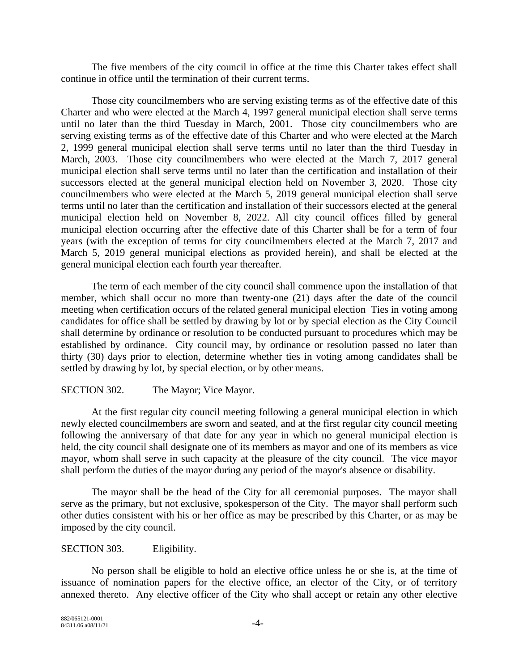The five members of the city council in office at the time this Charter takes effect shall continue in office until the termination of their current terms.

Those city councilmembers who are serving existing terms as of the effective date of this Charter and who were elected at the March 4, 1997 general municipal election shall serve terms until no later than the third Tuesday in March, 2001. Those city councilmembers who are serving existing terms as of the effective date of this Charter and who were elected at the March 2, 1999 general municipal election shall serve terms until no later than the third Tuesday in March, 2003. Those city councilmembers who were elected at the March 7, 2017 general municipal election shall serve terms until no later than the certification and installation of their successors elected at the general municipal election held on November 3, 2020. Those city councilmembers who were elected at the March 5, 2019 general municipal election shall serve terms until no later than the certification and installation of their successors elected at the general municipal election held on November 8, 2022. All city council offices filled by general municipal election occurring after the effective date of this Charter shall be for a term of four years (with the exception of terms for city councilmembers elected at the March 7, 2017 and March 5, 2019 general municipal elections as provided herein), and shall be elected at the general municipal election each fourth year thereafter.

The term of each member of the city council shall commence upon the installation of that member, which shall occur no more than twenty-one (21) days after the date of the council meeting when certification occurs of the related general municipal election Ties in voting among candidates for office shall be settled by drawing by lot or by special election as the City Council shall determine by ordinance or resolution to be conducted pursuant to procedures which may be established by ordinance. City council may, by ordinance or resolution passed no later than thirty (30) days prior to election, determine whether ties in voting among candidates shall be settled by drawing by lot, by special election, or by other means.

## SECTION 302. The Mayor; Vice Mayor.

At the first regular city council meeting following a general municipal election in which newly elected councilmembers are sworn and seated, and at the first regular city council meeting following the anniversary of that date for any year in which no general municipal election is held, the city council shall designate one of its members as mayor and one of its members as vice mayor, whom shall serve in such capacity at the pleasure of the city council. The vice mayor shall perform the duties of the mayor during any period of the mayor's absence or disability.

The mayor shall be the head of the City for all ceremonial purposes. The mayor shall serve as the primary, but not exclusive, spokesperson of the City. The mayor shall perform such other duties consistent with his or her office as may be prescribed by this Charter, or as may be imposed by the city council.

#### SECTION 303. Eligibility.

No person shall be eligible to hold an elective office unless he or she is, at the time of issuance of nomination papers for the elective office, an elector of the City, or of territory annexed thereto. Any elective officer of the City who shall accept or retain any other elective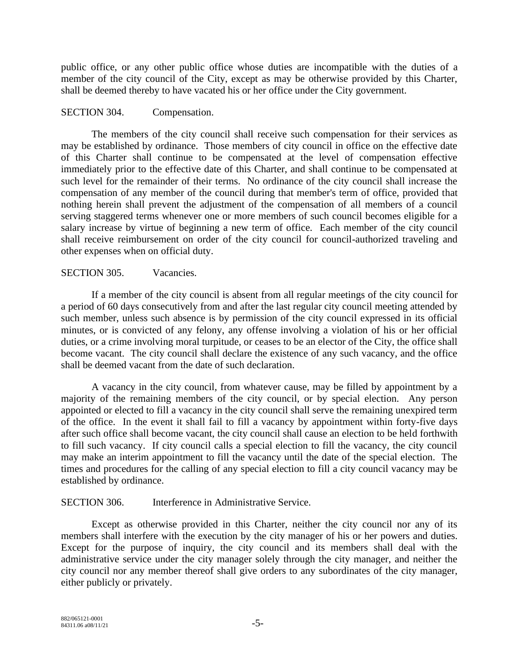public office, or any other public office whose duties are incompatible with the duties of a member of the city council of the City, except as may be otherwise provided by this Charter, shall be deemed thereby to have vacated his or her office under the City government.

#### SECTION 304. Compensation.

The members of the city council shall receive such compensation for their services as may be established by ordinance. Those members of city council in office on the effective date of this Charter shall continue to be compensated at the level of compensation effective immediately prior to the effective date of this Charter, and shall continue to be compensated at such level for the remainder of their terms. No ordinance of the city council shall increase the compensation of any member of the council during that member's term of office, provided that nothing herein shall prevent the adjustment of the compensation of all members of a council serving staggered terms whenever one or more members of such council becomes eligible for a salary increase by virtue of beginning a new term of office. Each member of the city council shall receive reimbursement on order of the city council for council-authorized traveling and other expenses when on official duty.

#### SECTION 305. Vacancies.

If a member of the city council is absent from all regular meetings of the city council for a period of 60 days consecutively from and after the last regular city council meeting attended by such member, unless such absence is by permission of the city council expressed in its official minutes, or is convicted of any felony, any offense involving a violation of his or her official duties, or a crime involving moral turpitude, or ceases to be an elector of the City, the office shall become vacant. The city council shall declare the existence of any such vacancy, and the office shall be deemed vacant from the date of such declaration.

A vacancy in the city council, from whatever cause, may be filled by appointment by a majority of the remaining members of the city council, or by special election. Any person appointed or elected to fill a vacancy in the city council shall serve the remaining unexpired term of the office. In the event it shall fail to fill a vacancy by appointment within forty-five days after such office shall become vacant, the city council shall cause an election to be held forthwith to fill such vacancy. If city council calls a special election to fill the vacancy, the city council may make an interim appointment to fill the vacancy until the date of the special election. The times and procedures for the calling of any special election to fill a city council vacancy may be established by ordinance.

#### SECTION 306. Interference in Administrative Service.

Except as otherwise provided in this Charter, neither the city council nor any of its members shall interfere with the execution by the city manager of his or her powers and duties. Except for the purpose of inquiry, the city council and its members shall deal with the administrative service under the city manager solely through the city manager, and neither the city council nor any member thereof shall give orders to any subordinates of the city manager, either publicly or privately.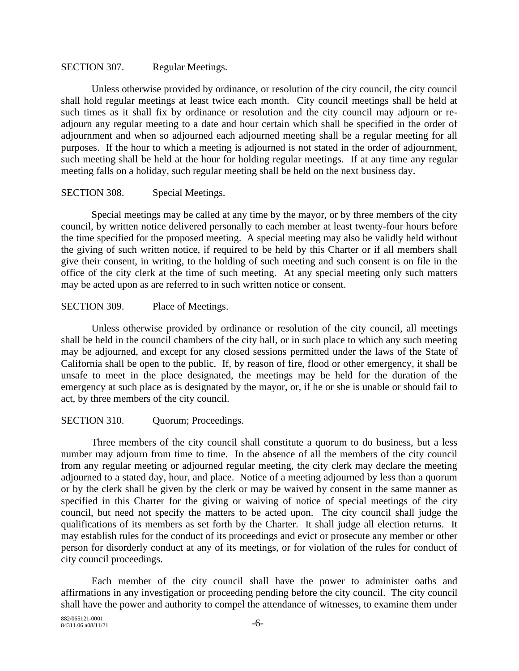#### SECTION 307. Regular Meetings.

Unless otherwise provided by ordinance, or resolution of the city council, the city council shall hold regular meetings at least twice each month. City council meetings shall be held at such times as it shall fix by ordinance or resolution and the city council may adjourn or readjourn any regular meeting to a date and hour certain which shall be specified in the order of adjournment and when so adjourned each adjourned meeting shall be a regular meeting for all purposes. If the hour to which a meeting is adjourned is not stated in the order of adjournment, such meeting shall be held at the hour for holding regular meetings. If at any time any regular meeting falls on a holiday, such regular meeting shall be held on the next business day.

#### SECTION 308. Special Meetings.

Special meetings may be called at any time by the mayor, or by three members of the city council, by written notice delivered personally to each member at least twenty-four hours before the time specified for the proposed meeting. A special meeting may also be validly held without the giving of such written notice, if required to be held by this Charter or if all members shall give their consent, in writing, to the holding of such meeting and such consent is on file in the office of the city clerk at the time of such meeting. At any special meeting only such matters may be acted upon as are referred to in such written notice or consent.

#### SECTION 309. Place of Meetings.

Unless otherwise provided by ordinance or resolution of the city council, all meetings shall be held in the council chambers of the city hall, or in such place to which any such meeting may be adjourned, and except for any closed sessions permitted under the laws of the State of California shall be open to the public. If, by reason of fire, flood or other emergency, it shall be unsafe to meet in the place designated, the meetings may be held for the duration of the emergency at such place as is designated by the mayor, or, if he or she is unable or should fail to act, by three members of the city council.

#### SECTION 310. Quorum; Proceedings.

Three members of the city council shall constitute a quorum to do business, but a less number may adjourn from time to time. In the absence of all the members of the city council from any regular meeting or adjourned regular meeting, the city clerk may declare the meeting adjourned to a stated day, hour, and place. Notice of a meeting adjourned by less than a quorum or by the clerk shall be given by the clerk or may be waived by consent in the same manner as specified in this Charter for the giving or waiving of notice of special meetings of the city council, but need not specify the matters to be acted upon. The city council shall judge the qualifications of its members as set forth by the Charter. It shall judge all election returns. It may establish rules for the conduct of its proceedings and evict or prosecute any member or other person for disorderly conduct at any of its meetings, or for violation of the rules for conduct of city council proceedings.

Each member of the city council shall have the power to administer oaths and affirmations in any investigation or proceeding pending before the city council. The city council shall have the power and authority to compel the attendance of witnesses, to examine them under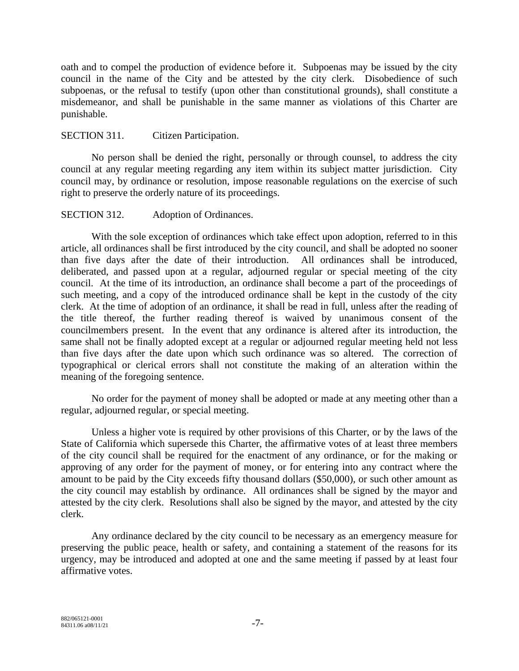oath and to compel the production of evidence before it. Subpoenas may be issued by the city council in the name of the City and be attested by the city clerk. Disobedience of such subpoenas, or the refusal to testify (upon other than constitutional grounds), shall constitute a misdemeanor, and shall be punishable in the same manner as violations of this Charter are punishable.

#### SECTION 311. Citizen Participation.

No person shall be denied the right, personally or through counsel, to address the city council at any regular meeting regarding any item within its subject matter jurisdiction. City council may, by ordinance or resolution, impose reasonable regulations on the exercise of such right to preserve the orderly nature of its proceedings.

#### SECTION 312. Adoption of Ordinances.

With the sole exception of ordinances which take effect upon adoption, referred to in this article, all ordinances shall be first introduced by the city council, and shall be adopted no sooner than five days after the date of their introduction. All ordinances shall be introduced, deliberated, and passed upon at a regular, adjourned regular or special meeting of the city council. At the time of its introduction, an ordinance shall become a part of the proceedings of such meeting, and a copy of the introduced ordinance shall be kept in the custody of the city clerk. At the time of adoption of an ordinance, it shall be read in full, unless after the reading of the title thereof, the further reading thereof is waived by unanimous consent of the councilmembers present. In the event that any ordinance is altered after its introduction, the same shall not be finally adopted except at a regular or adjourned regular meeting held not less than five days after the date upon which such ordinance was so altered. The correction of typographical or clerical errors shall not constitute the making of an alteration within the meaning of the foregoing sentence.

No order for the payment of money shall be adopted or made at any meeting other than a regular, adjourned regular, or special meeting.

Unless a higher vote is required by other provisions of this Charter, or by the laws of the State of California which supersede this Charter, the affirmative votes of at least three members of the city council shall be required for the enactment of any ordinance, or for the making or approving of any order for the payment of money, or for entering into any contract where the amount to be paid by the City exceeds fifty thousand dollars (\$50,000), or such other amount as the city council may establish by ordinance. All ordinances shall be signed by the mayor and attested by the city clerk. Resolutions shall also be signed by the mayor, and attested by the city clerk.

Any ordinance declared by the city council to be necessary as an emergency measure for preserving the public peace, health or safety, and containing a statement of the reasons for its urgency, may be introduced and adopted at one and the same meeting if passed by at least four affirmative votes.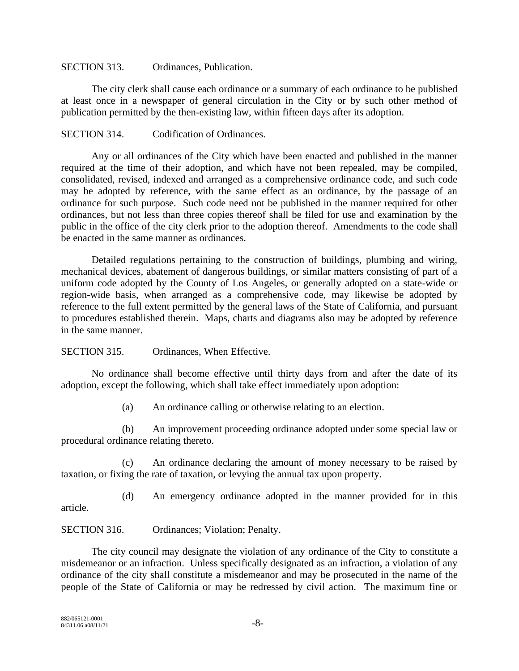#### SECTION 313. Ordinances, Publication.

The city clerk shall cause each ordinance or a summary of each ordinance to be published at least once in a newspaper of general circulation in the City or by such other method of publication permitted by the then-existing law, within fifteen days after its adoption.

#### SECTION 314. Codification of Ordinances.

Any or all ordinances of the City which have been enacted and published in the manner required at the time of their adoption, and which have not been repealed, may be compiled, consolidated, revised, indexed and arranged as a comprehensive ordinance code, and such code may be adopted by reference, with the same effect as an ordinance, by the passage of an ordinance for such purpose. Such code need not be published in the manner required for other ordinances, but not less than three copies thereof shall be filed for use and examination by the public in the office of the city clerk prior to the adoption thereof. Amendments to the code shall be enacted in the same manner as ordinances.

Detailed regulations pertaining to the construction of buildings, plumbing and wiring, mechanical devices, abatement of dangerous buildings, or similar matters consisting of part of a uniform code adopted by the County of Los Angeles, or generally adopted on a state-wide or region-wide basis, when arranged as a comprehensive code, may likewise be adopted by reference to the full extent permitted by the general laws of the State of California, and pursuant to procedures established therein. Maps, charts and diagrams also may be adopted by reference in the same manner.

SECTION 315. Ordinances, When Effective.

No ordinance shall become effective until thirty days from and after the date of its adoption, except the following, which shall take effect immediately upon adoption:

(a) An ordinance calling or otherwise relating to an election.

(b) An improvement proceeding ordinance adopted under some special law or procedural ordinance relating thereto.

(c) An ordinance declaring the amount of money necessary to be raised by taxation, or fixing the rate of taxation, or levying the annual tax upon property.

(d) An emergency ordinance adopted in the manner provided for in this article.

SECTION 316. Ordinances; Violation; Penalty.

The city council may designate the violation of any ordinance of the City to constitute a misdemeanor or an infraction. Unless specifically designated as an infraction, a violation of any ordinance of the city shall constitute a misdemeanor and may be prosecuted in the name of the people of the State of California or may be redressed by civil action. The maximum fine or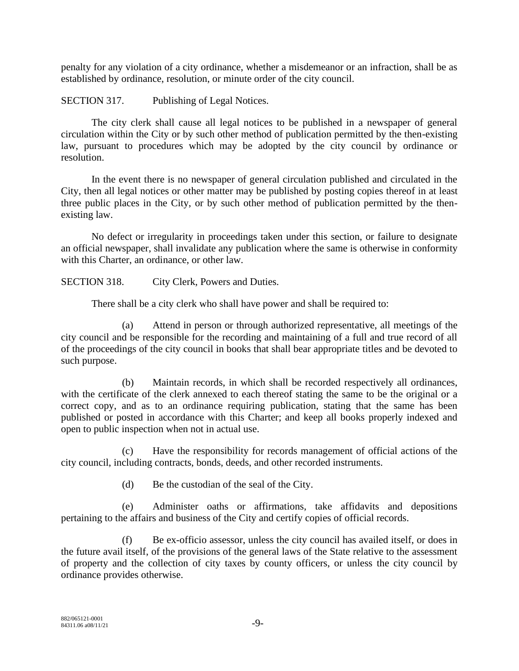penalty for any violation of a city ordinance, whether a misdemeanor or an infraction, shall be as established by ordinance, resolution, or minute order of the city council.

SECTION 317. Publishing of Legal Notices.

The city clerk shall cause all legal notices to be published in a newspaper of general circulation within the City or by such other method of publication permitted by the then-existing law, pursuant to procedures which may be adopted by the city council by ordinance or resolution.

In the event there is no newspaper of general circulation published and circulated in the City, then all legal notices or other matter may be published by posting copies thereof in at least three public places in the City, or by such other method of publication permitted by the thenexisting law.

No defect or irregularity in proceedings taken under this section, or failure to designate an official newspaper, shall invalidate any publication where the same is otherwise in conformity with this Charter, an ordinance, or other law.

SECTION 318. City Clerk, Powers and Duties.

There shall be a city clerk who shall have power and shall be required to:

(a) Attend in person or through authorized representative, all meetings of the city council and be responsible for the recording and maintaining of a full and true record of all of the proceedings of the city council in books that shall bear appropriate titles and be devoted to such purpose.

(b) Maintain records, in which shall be recorded respectively all ordinances, with the certificate of the clerk annexed to each thereof stating the same to be the original or a correct copy, and as to an ordinance requiring publication, stating that the same has been published or posted in accordance with this Charter; and keep all books properly indexed and open to public inspection when not in actual use.

(c) Have the responsibility for records management of official actions of the city council, including contracts, bonds, deeds, and other recorded instruments.

(d) Be the custodian of the seal of the City.

(e) Administer oaths or affirmations, take affidavits and depositions pertaining to the affairs and business of the City and certify copies of official records.

(f) Be ex-officio assessor, unless the city council has availed itself, or does in the future avail itself, of the provisions of the general laws of the State relative to the assessment of property and the collection of city taxes by county officers, or unless the city council by ordinance provides otherwise.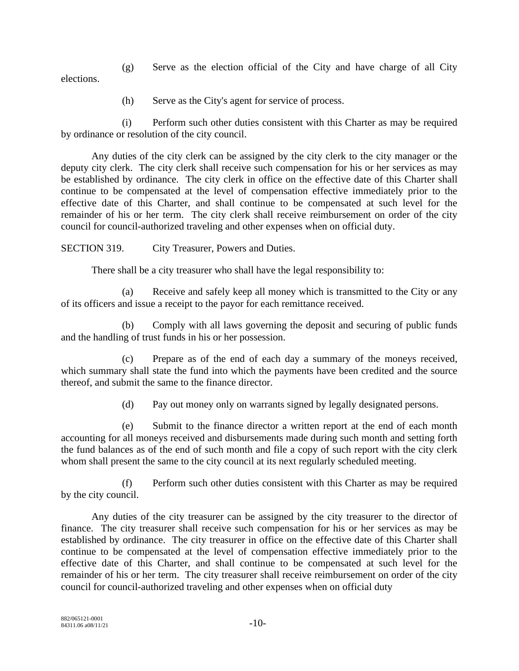(g) Serve as the election official of the City and have charge of all City elections.

(h) Serve as the City's agent for service of process.

(i) Perform such other duties consistent with this Charter as may be required by ordinance or resolution of the city council.

Any duties of the city clerk can be assigned by the city clerk to the city manager or the deputy city clerk. The city clerk shall receive such compensation for his or her services as may be established by ordinance. The city clerk in office on the effective date of this Charter shall continue to be compensated at the level of compensation effective immediately prior to the effective date of this Charter, and shall continue to be compensated at such level for the remainder of his or her term. The city clerk shall receive reimbursement on order of the city council for council-authorized traveling and other expenses when on official duty.

SECTION 319. City Treasurer, Powers and Duties.

There shall be a city treasurer who shall have the legal responsibility to:

(a) Receive and safely keep all money which is transmitted to the City or any of its officers and issue a receipt to the payor for each remittance received.

(b) Comply with all laws governing the deposit and securing of public funds and the handling of trust funds in his or her possession.

(c) Prepare as of the end of each day a summary of the moneys received, which summary shall state the fund into which the payments have been credited and the source thereof, and submit the same to the finance director.

(d) Pay out money only on warrants signed by legally designated persons.

(e) Submit to the finance director a written report at the end of each month accounting for all moneys received and disbursements made during such month and setting forth the fund balances as of the end of such month and file a copy of such report with the city clerk whom shall present the same to the city council at its next regularly scheduled meeting.

(f) Perform such other duties consistent with this Charter as may be required by the city council.

Any duties of the city treasurer can be assigned by the city treasurer to the director of finance. The city treasurer shall receive such compensation for his or her services as may be established by ordinance. The city treasurer in office on the effective date of this Charter shall continue to be compensated at the level of compensation effective immediately prior to the effective date of this Charter, and shall continue to be compensated at such level for the remainder of his or her term. The city treasurer shall receive reimbursement on order of the city council for council-authorized traveling and other expenses when on official duty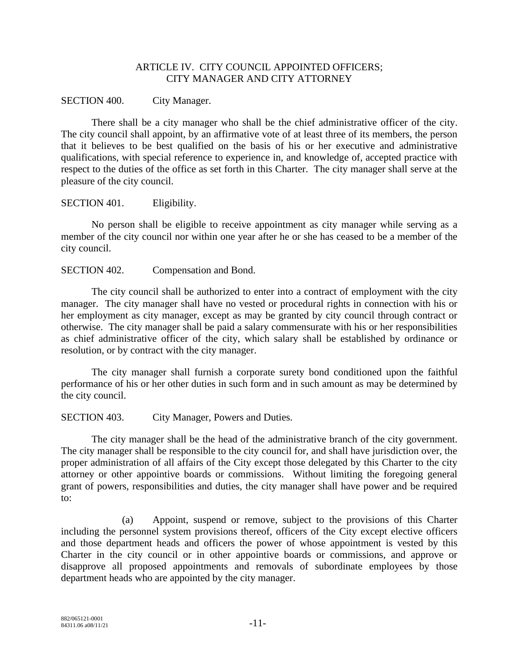#### ARTICLE IV. CITY COUNCIL APPOINTED OFFICERS; CITY MANAGER AND CITY ATTORNEY

#### SECTION 400. City Manager.

There shall be a city manager who shall be the chief administrative officer of the city. The city council shall appoint, by an affirmative vote of at least three of its members, the person that it believes to be best qualified on the basis of his or her executive and administrative qualifications, with special reference to experience in, and knowledge of, accepted practice with respect to the duties of the office as set forth in this Charter. The city manager shall serve at the pleasure of the city council.

SECTION 401. Eligibility.

No person shall be eligible to receive appointment as city manager while serving as a member of the city council nor within one year after he or she has ceased to be a member of the city council.

SECTION 402. Compensation and Bond.

The city council shall be authorized to enter into a contract of employment with the city manager. The city manager shall have no vested or procedural rights in connection with his or her employment as city manager, except as may be granted by city council through contract or otherwise. The city manager shall be paid a salary commensurate with his or her responsibilities as chief administrative officer of the city, which salary shall be established by ordinance or resolution, or by contract with the city manager.

The city manager shall furnish a corporate surety bond conditioned upon the faithful performance of his or her other duties in such form and in such amount as may be determined by the city council.

SECTION 403. City Manager, Powers and Duties.

The city manager shall be the head of the administrative branch of the city government. The city manager shall be responsible to the city council for, and shall have jurisdiction over, the proper administration of all affairs of the City except those delegated by this Charter to the city attorney or other appointive boards or commissions. Without limiting the foregoing general grant of powers, responsibilities and duties, the city manager shall have power and be required to:

(a) Appoint, suspend or remove, subject to the provisions of this Charter including the personnel system provisions thereof, officers of the City except elective officers and those department heads and officers the power of whose appointment is vested by this Charter in the city council or in other appointive boards or commissions, and approve or disapprove all proposed appointments and removals of subordinate employees by those department heads who are appointed by the city manager.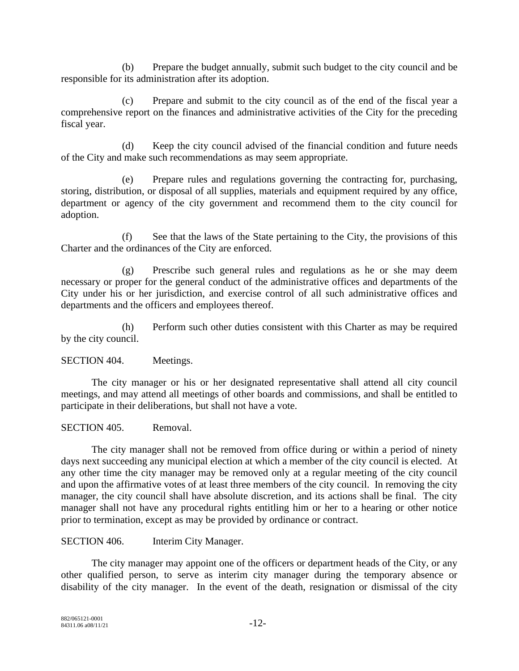(b) Prepare the budget annually, submit such budget to the city council and be responsible for its administration after its adoption.

(c) Prepare and submit to the city council as of the end of the fiscal year a comprehensive report on the finances and administrative activities of the City for the preceding fiscal year.

(d) Keep the city council advised of the financial condition and future needs of the City and make such recommendations as may seem appropriate.

(e) Prepare rules and regulations governing the contracting for, purchasing, storing, distribution, or disposal of all supplies, materials and equipment required by any office, department or agency of the city government and recommend them to the city council for adoption.

(f) See that the laws of the State pertaining to the City, the provisions of this Charter and the ordinances of the City are enforced.

(g) Prescribe such general rules and regulations as he or she may deem necessary or proper for the general conduct of the administrative offices and departments of the City under his or her jurisdiction, and exercise control of all such administrative offices and departments and the officers and employees thereof.

(h) Perform such other duties consistent with this Charter as may be required by the city council.

SECTION 404. Meetings.

The city manager or his or her designated representative shall attend all city council meetings, and may attend all meetings of other boards and commissions, and shall be entitled to participate in their deliberations, but shall not have a vote.

SECTION 405. Removal.

The city manager shall not be removed from office during or within a period of ninety days next succeeding any municipal election at which a member of the city council is elected. At any other time the city manager may be removed only at a regular meeting of the city council and upon the affirmative votes of at least three members of the city council. In removing the city manager, the city council shall have absolute discretion, and its actions shall be final. The city manager shall not have any procedural rights entitling him or her to a hearing or other notice prior to termination, except as may be provided by ordinance or contract.

SECTION 406. Interim City Manager.

The city manager may appoint one of the officers or department heads of the City, or any other qualified person, to serve as interim city manager during the temporary absence or disability of the city manager. In the event of the death, resignation or dismissal of the city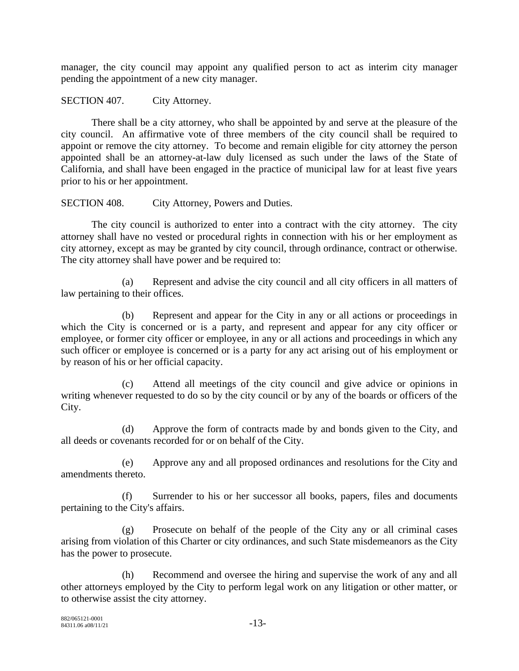manager, the city council may appoint any qualified person to act as interim city manager pending the appointment of a new city manager.

SECTION 407. City Attorney.

There shall be a city attorney, who shall be appointed by and serve at the pleasure of the city council. An affirmative vote of three members of the city council shall be required to appoint or remove the city attorney. To become and remain eligible for city attorney the person appointed shall be an attorney-at-law duly licensed as such under the laws of the State of California, and shall have been engaged in the practice of municipal law for at least five years prior to his or her appointment.

SECTION 408. City Attorney, Powers and Duties.

The city council is authorized to enter into a contract with the city attorney. The city attorney shall have no vested or procedural rights in connection with his or her employment as city attorney, except as may be granted by city council, through ordinance, contract or otherwise. The city attorney shall have power and be required to:

(a) Represent and advise the city council and all city officers in all matters of law pertaining to their offices.

(b) Represent and appear for the City in any or all actions or proceedings in which the City is concerned or is a party, and represent and appear for any city officer or employee, or former city officer or employee, in any or all actions and proceedings in which any such officer or employee is concerned or is a party for any act arising out of his employment or by reason of his or her official capacity.

(c) Attend all meetings of the city council and give advice or opinions in writing whenever requested to do so by the city council or by any of the boards or officers of the City.

(d) Approve the form of contracts made by and bonds given to the City, and all deeds or covenants recorded for or on behalf of the City.

(e) Approve any and all proposed ordinances and resolutions for the City and amendments thereto.

(f) Surrender to his or her successor all books, papers, files and documents pertaining to the City's affairs.

(g) Prosecute on behalf of the people of the City any or all criminal cases arising from violation of this Charter or city ordinances, and such State misdemeanors as the City has the power to prosecute.

(h) Recommend and oversee the hiring and supervise the work of any and all other attorneys employed by the City to perform legal work on any litigation or other matter, or to otherwise assist the city attorney.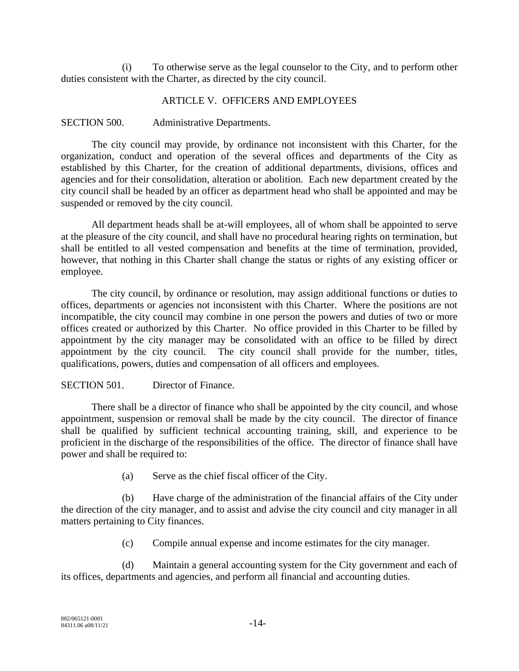(i) To otherwise serve as the legal counselor to the City, and to perform other duties consistent with the Charter, as directed by the city council.

#### ARTICLE V. OFFICERS AND EMPLOYEES

#### SECTION 500. Administrative Departments.

The city council may provide, by ordinance not inconsistent with this Charter, for the organization, conduct and operation of the several offices and departments of the City as established by this Charter, for the creation of additional departments, divisions, offices and agencies and for their consolidation, alteration or abolition. Each new department created by the city council shall be headed by an officer as department head who shall be appointed and may be suspended or removed by the city council.

All department heads shall be at-will employees, all of whom shall be appointed to serve at the pleasure of the city council, and shall have no procedural hearing rights on termination, but shall be entitled to all vested compensation and benefits at the time of termination, provided, however, that nothing in this Charter shall change the status or rights of any existing officer or employee.

The city council, by ordinance or resolution, may assign additional functions or duties to offices, departments or agencies not inconsistent with this Charter. Where the positions are not incompatible, the city council may combine in one person the powers and duties of two or more offices created or authorized by this Charter. No office provided in this Charter to be filled by appointment by the city manager may be consolidated with an office to be filled by direct appointment by the city council. The city council shall provide for the number, titles, qualifications, powers, duties and compensation of all officers and employees.

## SECTION 501. Director of Finance.

There shall be a director of finance who shall be appointed by the city council, and whose appointment, suspension or removal shall be made by the city council. The director of finance shall be qualified by sufficient technical accounting training, skill, and experience to be proficient in the discharge of the responsibilities of the office. The director of finance shall have power and shall be required to:

(a) Serve as the chief fiscal officer of the City.

(b) Have charge of the administration of the financial affairs of the City under the direction of the city manager, and to assist and advise the city council and city manager in all matters pertaining to City finances.

(c) Compile annual expense and income estimates for the city manager.

(d) Maintain a general accounting system for the City government and each of its offices, departments and agencies, and perform all financial and accounting duties.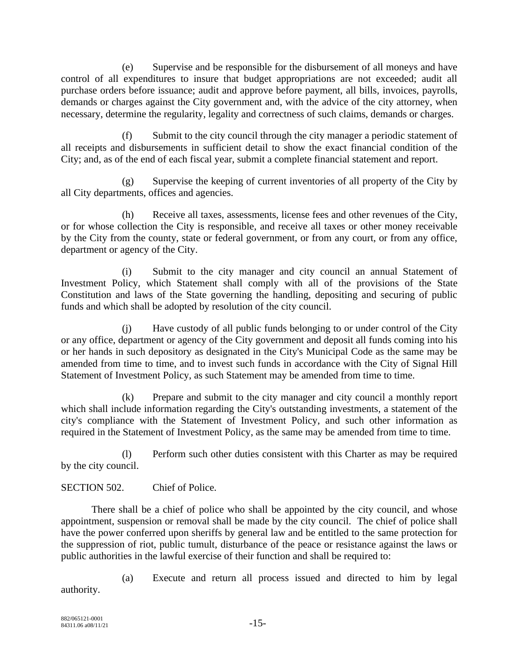(e) Supervise and be responsible for the disbursement of all moneys and have control of all expenditures to insure that budget appropriations are not exceeded; audit all purchase orders before issuance; audit and approve before payment, all bills, invoices, payrolls, demands or charges against the City government and, with the advice of the city attorney, when necessary, determine the regularity, legality and correctness of such claims, demands or charges.

(f) Submit to the city council through the city manager a periodic statement of all receipts and disbursements in sufficient detail to show the exact financial condition of the City; and, as of the end of each fiscal year, submit a complete financial statement and report.

(g) Supervise the keeping of current inventories of all property of the City by all City departments, offices and agencies.

(h) Receive all taxes, assessments, license fees and other revenues of the City, or for whose collection the City is responsible, and receive all taxes or other money receivable by the City from the county, state or federal government, or from any court, or from any office, department or agency of the City.

(i) Submit to the city manager and city council an annual Statement of Investment Policy, which Statement shall comply with all of the provisions of the State Constitution and laws of the State governing the handling, depositing and securing of public funds and which shall be adopted by resolution of the city council.

(j) Have custody of all public funds belonging to or under control of the City or any office, department or agency of the City government and deposit all funds coming into his or her hands in such depository as designated in the City's Municipal Code as the same may be amended from time to time, and to invest such funds in accordance with the City of Signal Hill Statement of Investment Policy, as such Statement may be amended from time to time.

(k) Prepare and submit to the city manager and city council a monthly report which shall include information regarding the City's outstanding investments, a statement of the city's compliance with the Statement of Investment Policy, and such other information as required in the Statement of Investment Policy, as the same may be amended from time to time.

(l) Perform such other duties consistent with this Charter as may be required by the city council.

## SECTION 502. Chief of Police.

There shall be a chief of police who shall be appointed by the city council, and whose appointment, suspension or removal shall be made by the city council. The chief of police shall have the power conferred upon sheriffs by general law and be entitled to the same protection for the suppression of riot, public tumult, disturbance of the peace or resistance against the laws or public authorities in the lawful exercise of their function and shall be required to:

(a) Execute and return all process issued and directed to him by legal authority.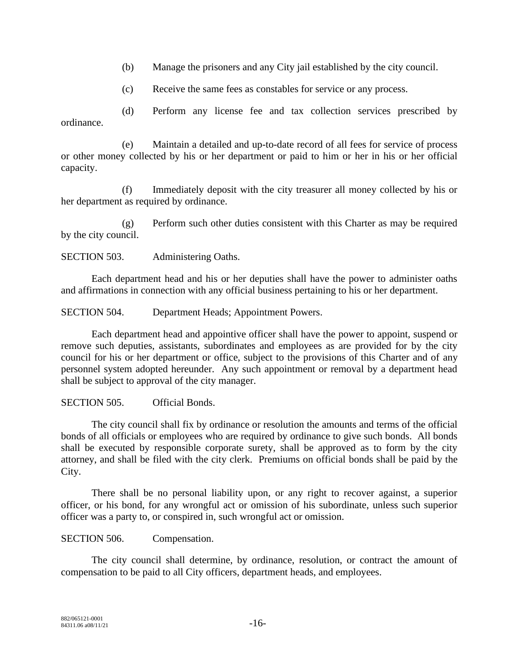- (b) Manage the prisoners and any City jail established by the city council.
- (c) Receive the same fees as constables for service or any process.

(d) Perform any license fee and tax collection services prescribed by ordinance.

(e) Maintain a detailed and up-to-date record of all fees for service of process or other money collected by his or her department or paid to him or her in his or her official capacity.

(f) Immediately deposit with the city treasurer all money collected by his or her department as required by ordinance.

(g) Perform such other duties consistent with this Charter as may be required by the city council.

SECTION 503. Administering Oaths.

Each department head and his or her deputies shall have the power to administer oaths and affirmations in connection with any official business pertaining to his or her department.

SECTION 504. Department Heads; Appointment Powers.

Each department head and appointive officer shall have the power to appoint, suspend or remove such deputies, assistants, subordinates and employees as are provided for by the city council for his or her department or office, subject to the provisions of this Charter and of any personnel system adopted hereunder. Any such appointment or removal by a department head shall be subject to approval of the city manager.

SECTION 505. Official Bonds.

The city council shall fix by ordinance or resolution the amounts and terms of the official bonds of all officials or employees who are required by ordinance to give such bonds. All bonds shall be executed by responsible corporate surety, shall be approved as to form by the city attorney, and shall be filed with the city clerk. Premiums on official bonds shall be paid by the City.

There shall be no personal liability upon, or any right to recover against, a superior officer, or his bond, for any wrongful act or omission of his subordinate, unless such superior officer was a party to, or conspired in, such wrongful act or omission.

SECTION 506. Compensation.

The city council shall determine, by ordinance, resolution, or contract the amount of compensation to be paid to all City officers, department heads, and employees.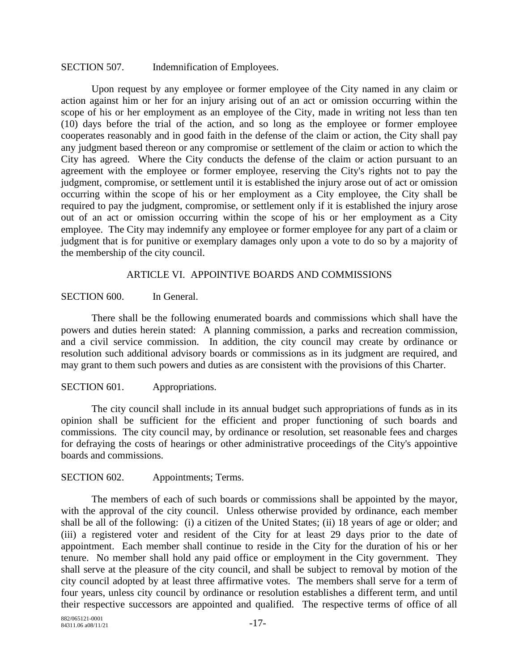#### SECTION 507. Indemnification of Employees.

Upon request by any employee or former employee of the City named in any claim or action against him or her for an injury arising out of an act or omission occurring within the scope of his or her employment as an employee of the City, made in writing not less than ten (10) days before the trial of the action, and so long as the employee or former employee cooperates reasonably and in good faith in the defense of the claim or action, the City shall pay any judgment based thereon or any compromise or settlement of the claim or action to which the City has agreed. Where the City conducts the defense of the claim or action pursuant to an agreement with the employee or former employee, reserving the City's rights not to pay the judgment, compromise, or settlement until it is established the injury arose out of act or omission occurring within the scope of his or her employment as a City employee, the City shall be required to pay the judgment, compromise, or settlement only if it is established the injury arose out of an act or omission occurring within the scope of his or her employment as a City employee. The City may indemnify any employee or former employee for any part of a claim or judgment that is for punitive or exemplary damages only upon a vote to do so by a majority of the membership of the city council.

#### ARTICLE VI. APPOINTIVE BOARDS AND COMMISSIONS

#### SECTION 600. In General.

There shall be the following enumerated boards and commissions which shall have the powers and duties herein stated: A planning commission, a parks and recreation commission, and a civil service commission. In addition, the city council may create by ordinance or resolution such additional advisory boards or commissions as in its judgment are required, and may grant to them such powers and duties as are consistent with the provisions of this Charter.

#### SECTION 601. Appropriations.

The city council shall include in its annual budget such appropriations of funds as in its opinion shall be sufficient for the efficient and proper functioning of such boards and commissions. The city council may, by ordinance or resolution, set reasonable fees and charges for defraying the costs of hearings or other administrative proceedings of the City's appointive boards and commissions.

#### SECTION 602. Appointments; Terms.

The members of each of such boards or commissions shall be appointed by the mayor, with the approval of the city council. Unless otherwise provided by ordinance, each member shall be all of the following: (i) a citizen of the United States; (ii) 18 years of age or older; and (iii) a registered voter and resident of the City for at least 29 days prior to the date of appointment. Each member shall continue to reside in the City for the duration of his or her tenure. No member shall hold any paid office or employment in the City government. They shall serve at the pleasure of the city council, and shall be subject to removal by motion of the city council adopted by at least three affirmative votes. The members shall serve for a term of four years, unless city council by ordinance or resolution establishes a different term, and until their respective successors are appointed and qualified. The respective terms of office of all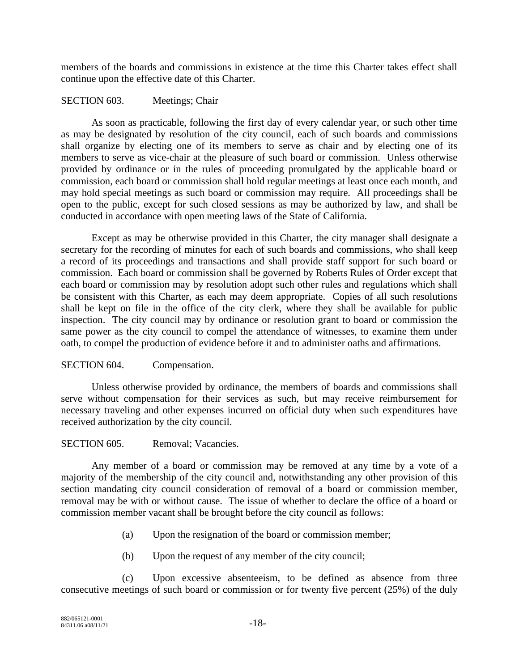members of the boards and commissions in existence at the time this Charter takes effect shall continue upon the effective date of this Charter.

#### SECTION 603. Meetings; Chair

As soon as practicable, following the first day of every calendar year, or such other time as may be designated by resolution of the city council, each of such boards and commissions shall organize by electing one of its members to serve as chair and by electing one of its members to serve as vice-chair at the pleasure of such board or commission. Unless otherwise provided by ordinance or in the rules of proceeding promulgated by the applicable board or commission, each board or commission shall hold regular meetings at least once each month, and may hold special meetings as such board or commission may require. All proceedings shall be open to the public, except for such closed sessions as may be authorized by law, and shall be conducted in accordance with open meeting laws of the State of California.

Except as may be otherwise provided in this Charter, the city manager shall designate a secretary for the recording of minutes for each of such boards and commissions, who shall keep a record of its proceedings and transactions and shall provide staff support for such board or commission. Each board or commission shall be governed by Roberts Rules of Order except that each board or commission may by resolution adopt such other rules and regulations which shall be consistent with this Charter, as each may deem appropriate. Copies of all such resolutions shall be kept on file in the office of the city clerk, where they shall be available for public inspection. The city council may by ordinance or resolution grant to board or commission the same power as the city council to compel the attendance of witnesses, to examine them under oath, to compel the production of evidence before it and to administer oaths and affirmations.

## SECTION 604. Compensation.

Unless otherwise provided by ordinance, the members of boards and commissions shall serve without compensation for their services as such, but may receive reimbursement for necessary traveling and other expenses incurred on official duty when such expenditures have received authorization by the city council.

#### SECTION 605. Removal: Vacancies.

Any member of a board or commission may be removed at any time by a vote of a majority of the membership of the city council and, notwithstanding any other provision of this section mandating city council consideration of removal of a board or commission member, removal may be with or without cause. The issue of whether to declare the office of a board or commission member vacant shall be brought before the city council as follows:

- (a) Upon the resignation of the board or commission member;
- (b) Upon the request of any member of the city council;

(c) Upon excessive absenteeism, to be defined as absence from three consecutive meetings of such board or commission or for twenty five percent (25%) of the duly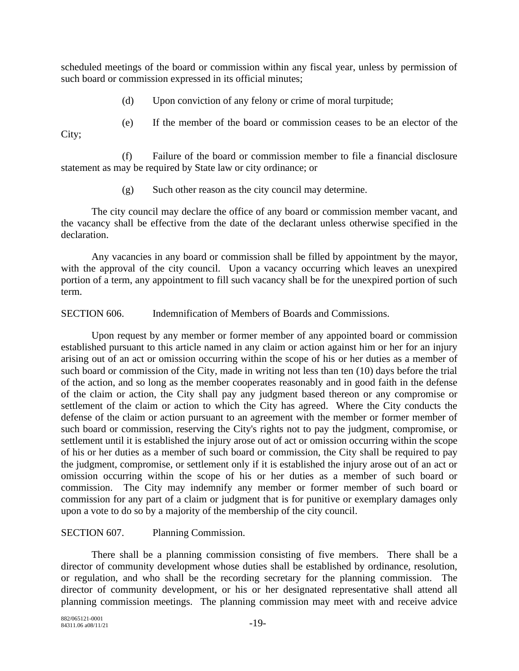scheduled meetings of the board or commission within any fiscal year, unless by permission of such board or commission expressed in its official minutes;

- (d) Upon conviction of any felony or crime of moral turpitude;
- (e) If the member of the board or commission ceases to be an elector of the

City;

(f) Failure of the board or commission member to file a financial disclosure statement as may be required by State law or city ordinance; or

(g) Such other reason as the city council may determine.

The city council may declare the office of any board or commission member vacant, and the vacancy shall be effective from the date of the declarant unless otherwise specified in the declaration.

Any vacancies in any board or commission shall be filled by appointment by the mayor, with the approval of the city council. Upon a vacancy occurring which leaves an unexpired portion of a term, any appointment to fill such vacancy shall be for the unexpired portion of such term.

SECTION 606. Indemnification of Members of Boards and Commissions.

Upon request by any member or former member of any appointed board or commission established pursuant to this article named in any claim or action against him or her for an injury arising out of an act or omission occurring within the scope of his or her duties as a member of such board or commission of the City, made in writing not less than ten (10) days before the trial of the action, and so long as the member cooperates reasonably and in good faith in the defense of the claim or action, the City shall pay any judgment based thereon or any compromise or settlement of the claim or action to which the City has agreed. Where the City conducts the defense of the claim or action pursuant to an agreement with the member or former member of such board or commission, reserving the City's rights not to pay the judgment, compromise, or settlement until it is established the injury arose out of act or omission occurring within the scope of his or her duties as a member of such board or commission, the City shall be required to pay the judgment, compromise, or settlement only if it is established the injury arose out of an act or omission occurring within the scope of his or her duties as a member of such board or commission. The City may indemnify any member or former member of such board or commission for any part of a claim or judgment that is for punitive or exemplary damages only upon a vote to do so by a majority of the membership of the city council.

## SECTION 607. Planning Commission.

There shall be a planning commission consisting of five members. There shall be a director of community development whose duties shall be established by ordinance, resolution, or regulation, and who shall be the recording secretary for the planning commission. The director of community development, or his or her designated representative shall attend all planning commission meetings. The planning commission may meet with and receive advice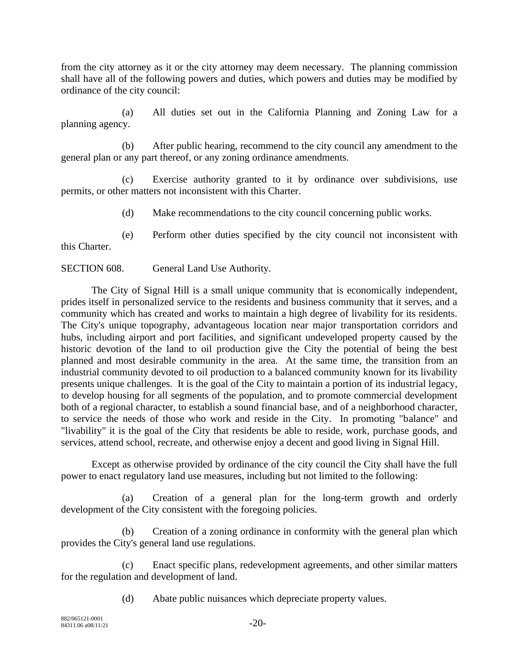from the city attorney as it or the city attorney may deem necessary. The planning commission shall have all of the following powers and duties, which powers and duties may be modified by ordinance of the city council:

(a) All duties set out in the California Planning and Zoning Law for a planning agency.

(b) After public hearing, recommend to the city council any amendment to the general plan or any part thereof, or any zoning ordinance amendments.

(c) Exercise authority granted to it by ordinance over subdivisions, use permits, or other matters not inconsistent with this Charter.

(d) Make recommendations to the city council concerning public works.

(e) Perform other duties specified by the city council not inconsistent with

SECTION 608. General Land Use Authority.

The City of Signal Hill is a small unique community that is economically independent, prides itself in personalized service to the residents and business community that it serves, and a community which has created and works to maintain a high degree of livability for its residents. The City's unique topography, advantageous location near major transportation corridors and hubs, including airport and port facilities, and significant undeveloped property caused by the historic devotion of the land to oil production give the City the potential of being the best planned and most desirable community in the area. At the same time, the transition from an industrial community devoted to oil production to a balanced community known for its livability presents unique challenges. It is the goal of the City to maintain a portion of its industrial legacy, to develop housing for all segments of the population, and to promote commercial development both of a regional character, to establish a sound financial base, and of a neighborhood character, to service the needs of those who work and reside in the City. In promoting "balance" and "livability" it is the goal of the City that residents be able to reside, work, purchase goods, and services, attend school, recreate, and otherwise enjoy a decent and good living in Signal Hill.

Except as otherwise provided by ordinance of the city council the City shall have the full power to enact regulatory land use measures, including but not limited to the following:

(a) Creation of a general plan for the long-term growth and orderly development of the City consistent with the foregoing policies.

(b) Creation of a zoning ordinance in conformity with the general plan which provides the City's general land use regulations.

(c) Enact specific plans, redevelopment agreements, and other similar matters for the regulation and development of land.

(d) Abate public nuisances which depreciate property values.

this Charter.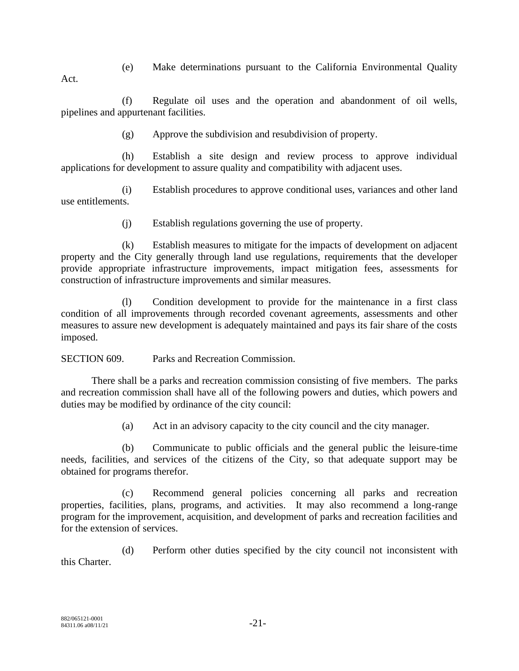(e) Make determinations pursuant to the California Environmental Quality Act.

(f) Regulate oil uses and the operation and abandonment of oil wells, pipelines and appurtenant facilities.

(g) Approve the subdivision and resubdivision of property.

(h) Establish a site design and review process to approve individual applications for development to assure quality and compatibility with adjacent uses.

(i) Establish procedures to approve conditional uses, variances and other land use entitlements.

(j) Establish regulations governing the use of property.

(k) Establish measures to mitigate for the impacts of development on adjacent property and the City generally through land use regulations, requirements that the developer provide appropriate infrastructure improvements, impact mitigation fees, assessments for construction of infrastructure improvements and similar measures.

(l) Condition development to provide for the maintenance in a first class condition of all improvements through recorded covenant agreements, assessments and other measures to assure new development is adequately maintained and pays its fair share of the costs imposed.

SECTION 609. Parks and Recreation Commission.

There shall be a parks and recreation commission consisting of five members. The parks and recreation commission shall have all of the following powers and duties, which powers and duties may be modified by ordinance of the city council:

(a) Act in an advisory capacity to the city council and the city manager.

(b) Communicate to public officials and the general public the leisure-time needs, facilities, and services of the citizens of the City, so that adequate support may be obtained for programs therefor.

(c) Recommend general policies concerning all parks and recreation properties, facilities, plans, programs, and activities. It may also recommend a long-range program for the improvement, acquisition, and development of parks and recreation facilities and for the extension of services.

(d) Perform other duties specified by the city council not inconsistent with this Charter.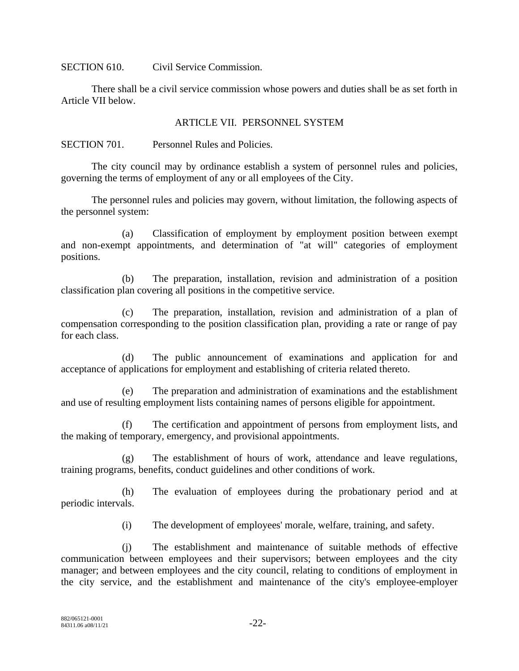SECTION 610. Civil Service Commission.

There shall be a civil service commission whose powers and duties shall be as set forth in Article VII below.

#### ARTICLE VII. PERSONNEL SYSTEM

SECTION 701. Personnel Rules and Policies.

The city council may by ordinance establish a system of personnel rules and policies, governing the terms of employment of any or all employees of the City.

The personnel rules and policies may govern, without limitation, the following aspects of the personnel system:

(a) Classification of employment by employment position between exempt and non-exempt appointments, and determination of "at will" categories of employment positions.

(b) The preparation, installation, revision and administration of a position classification plan covering all positions in the competitive service.

(c) The preparation, installation, revision and administration of a plan of compensation corresponding to the position classification plan, providing a rate or range of pay for each class.

(d) The public announcement of examinations and application for and acceptance of applications for employment and establishing of criteria related thereto.

The preparation and administration of examinations and the establishment and use of resulting employment lists containing names of persons eligible for appointment.

The certification and appointment of persons from employment lists, and the making of temporary, emergency, and provisional appointments.

(g) The establishment of hours of work, attendance and leave regulations, training programs, benefits, conduct guidelines and other conditions of work.

(h) The evaluation of employees during the probationary period and at periodic intervals.

(i) The development of employees' morale, welfare, training, and safety.

(j) The establishment and maintenance of suitable methods of effective communication between employees and their supervisors; between employees and the city manager; and between employees and the city council, relating to conditions of employment in the city service, and the establishment and maintenance of the city's employee-employer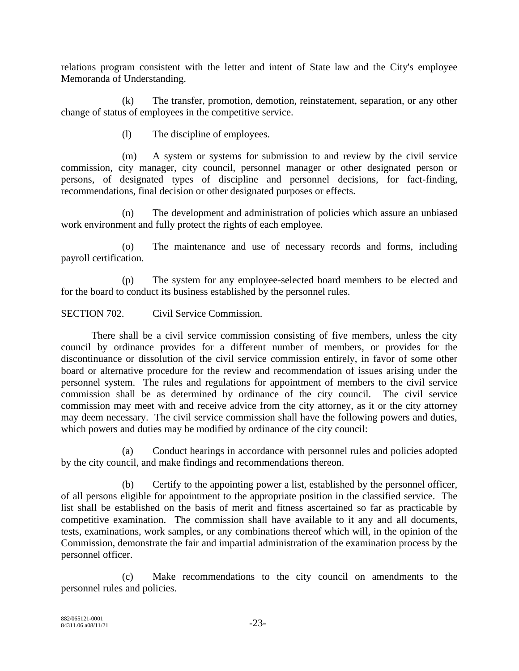relations program consistent with the letter and intent of State law and the City's employee Memoranda of Understanding.

(k) The transfer, promotion, demotion, reinstatement, separation, or any other change of status of employees in the competitive service.

(l) The discipline of employees.

(m) A system or systems for submission to and review by the civil service commission, city manager, city council, personnel manager or other designated person or persons, of designated types of discipline and personnel decisions, for fact-finding, recommendations, final decision or other designated purposes or effects.

(n) The development and administration of policies which assure an unbiased work environment and fully protect the rights of each employee.

(o) The maintenance and use of necessary records and forms, including payroll certification.

(p) The system for any employee-selected board members to be elected and for the board to conduct its business established by the personnel rules.

SECTION 702. Civil Service Commission.

There shall be a civil service commission consisting of five members, unless the city council by ordinance provides for a different number of members, or provides for the discontinuance or dissolution of the civil service commission entirely, in favor of some other board or alternative procedure for the review and recommendation of issues arising under the personnel system. The rules and regulations for appointment of members to the civil service commission shall be as determined by ordinance of the city council. The civil service commission may meet with and receive advice from the city attorney, as it or the city attorney may deem necessary. The civil service commission shall have the following powers and duties, which powers and duties may be modified by ordinance of the city council:

(a) Conduct hearings in accordance with personnel rules and policies adopted by the city council, and make findings and recommendations thereon.

(b) Certify to the appointing power a list, established by the personnel officer, of all persons eligible for appointment to the appropriate position in the classified service. The list shall be established on the basis of merit and fitness ascertained so far as practicable by competitive examination. The commission shall have available to it any and all documents, tests, examinations, work samples, or any combinations thereof which will, in the opinion of the Commission, demonstrate the fair and impartial administration of the examination process by the personnel officer.

(c) Make recommendations to the city council on amendments to the personnel rules and policies.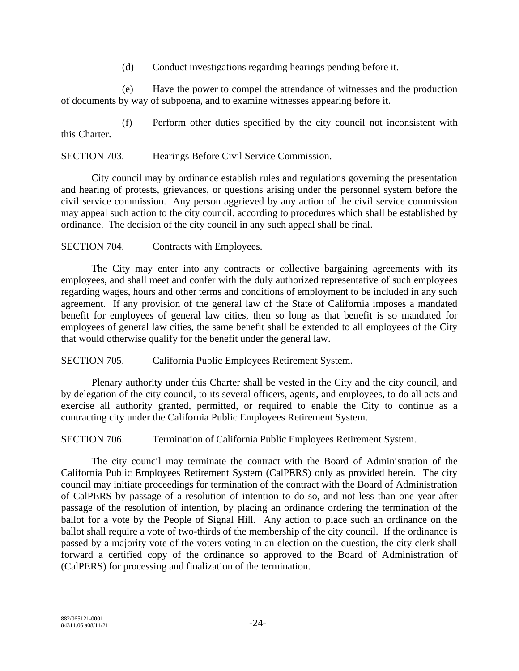(d) Conduct investigations regarding hearings pending before it.

(e) Have the power to compel the attendance of witnesses and the production of documents by way of subpoena, and to examine witnesses appearing before it.

(f) Perform other duties specified by the city council not inconsistent with this Charter.

SECTION 703. Hearings Before Civil Service Commission.

City council may by ordinance establish rules and regulations governing the presentation and hearing of protests, grievances, or questions arising under the personnel system before the civil service commission. Any person aggrieved by any action of the civil service commission may appeal such action to the city council, according to procedures which shall be established by ordinance. The decision of the city council in any such appeal shall be final.

SECTION 704. Contracts with Employees.

The City may enter into any contracts or collective bargaining agreements with its employees, and shall meet and confer with the duly authorized representative of such employees regarding wages, hours and other terms and conditions of employment to be included in any such agreement. If any provision of the general law of the State of California imposes a mandated benefit for employees of general law cities, then so long as that benefit is so mandated for employees of general law cities, the same benefit shall be extended to all employees of the City that would otherwise qualify for the benefit under the general law.

SECTION 705. California Public Employees Retirement System.

Plenary authority under this Charter shall be vested in the City and the city council, and by delegation of the city council, to its several officers, agents, and employees, to do all acts and exercise all authority granted, permitted, or required to enable the City to continue as a contracting city under the California Public Employees Retirement System.

SECTION 706. Termination of California Public Employees Retirement System.

The city council may terminate the contract with the Board of Administration of the California Public Employees Retirement System (CalPERS) only as provided herein. The city council may initiate proceedings for termination of the contract with the Board of Administration of CalPERS by passage of a resolution of intention to do so, and not less than one year after passage of the resolution of intention, by placing an ordinance ordering the termination of the ballot for a vote by the People of Signal Hill. Any action to place such an ordinance on the ballot shall require a vote of two-thirds of the membership of the city council. If the ordinance is passed by a majority vote of the voters voting in an election on the question, the city clerk shall forward a certified copy of the ordinance so approved to the Board of Administration of (CalPERS) for processing and finalization of the termination.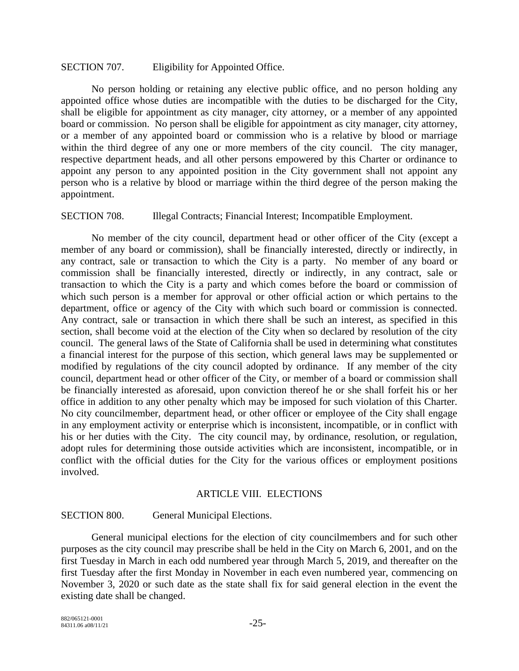#### SECTION 707. Eligibility for Appointed Office.

No person holding or retaining any elective public office, and no person holding any appointed office whose duties are incompatible with the duties to be discharged for the City, shall be eligible for appointment as city manager, city attorney, or a member of any appointed board or commission. No person shall be eligible for appointment as city manager, city attorney, or a member of any appointed board or commission who is a relative by blood or marriage within the third degree of any one or more members of the city council. The city manager, respective department heads, and all other persons empowered by this Charter or ordinance to appoint any person to any appointed position in the City government shall not appoint any person who is a relative by blood or marriage within the third degree of the person making the appointment.

#### SECTION 708. Illegal Contracts; Financial Interest; Incompatible Employment.

No member of the city council, department head or other officer of the City (except a member of any board or commission), shall be financially interested, directly or indirectly, in any contract, sale or transaction to which the City is a party. No member of any board or commission shall be financially interested, directly or indirectly, in any contract, sale or transaction to which the City is a party and which comes before the board or commission of which such person is a member for approval or other official action or which pertains to the department, office or agency of the City with which such board or commission is connected. Any contract, sale or transaction in which there shall be such an interest, as specified in this section, shall become void at the election of the City when so declared by resolution of the city council. The general laws of the State of California shall be used in determining what constitutes a financial interest for the purpose of this section, which general laws may be supplemented or modified by regulations of the city council adopted by ordinance. If any member of the city council, department head or other officer of the City, or member of a board or commission shall be financially interested as aforesaid, upon conviction thereof he or she shall forfeit his or her office in addition to any other penalty which may be imposed for such violation of this Charter. No city councilmember, department head, or other officer or employee of the City shall engage in any employment activity or enterprise which is inconsistent, incompatible, or in conflict with his or her duties with the City. The city council may, by ordinance, resolution, or regulation, adopt rules for determining those outside activities which are inconsistent, incompatible, or in conflict with the official duties for the City for the various offices or employment positions involved.

#### ARTICLE VIII. ELECTIONS

#### SECTION 800. General Municipal Elections.

General municipal elections for the election of city councilmembers and for such other purposes as the city council may prescribe shall be held in the City on March 6, 2001, and on the first Tuesday in March in each odd numbered year through March 5, 2019, and thereafter on the first Tuesday after the first Monday in November in each even numbered year, commencing on November 3, 2020 or such date as the state shall fix for said general election in the event the existing date shall be changed.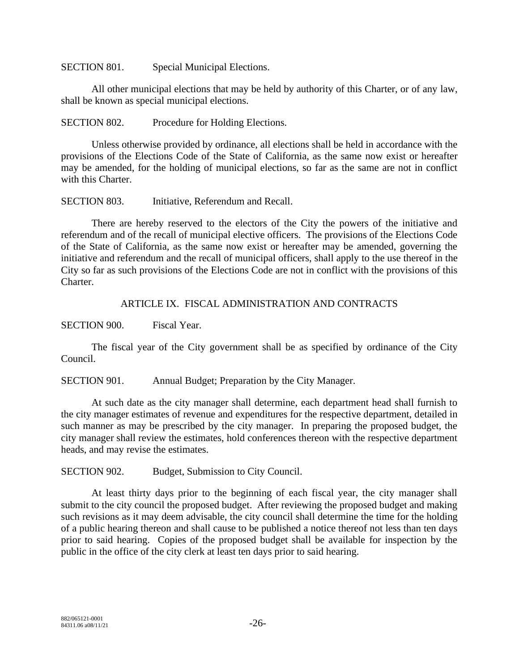SECTION 801. Special Municipal Elections.

All other municipal elections that may be held by authority of this Charter, or of any law, shall be known as special municipal elections.

SECTION 802. Procedure for Holding Elections.

Unless otherwise provided by ordinance, all elections shall be held in accordance with the provisions of the Elections Code of the State of California, as the same now exist or hereafter may be amended, for the holding of municipal elections, so far as the same are not in conflict with this Charter.

SECTION 803. Initiative, Referendum and Recall.

There are hereby reserved to the electors of the City the powers of the initiative and referendum and of the recall of municipal elective officers. The provisions of the Elections Code of the State of California, as the same now exist or hereafter may be amended, governing the initiative and referendum and the recall of municipal officers, shall apply to the use thereof in the City so far as such provisions of the Elections Code are not in conflict with the provisions of this Charter.

ARTICLE IX. FISCAL ADMINISTRATION AND CONTRACTS

SECTION 900. Fiscal Year.

The fiscal year of the City government shall be as specified by ordinance of the City Council.

SECTION 901. Annual Budget; Preparation by the City Manager.

At such date as the city manager shall determine, each department head shall furnish to the city manager estimates of revenue and expenditures for the respective department, detailed in such manner as may be prescribed by the city manager. In preparing the proposed budget, the city manager shall review the estimates, hold conferences thereon with the respective department heads, and may revise the estimates.

SECTION 902. Budget, Submission to City Council.

At least thirty days prior to the beginning of each fiscal year, the city manager shall submit to the city council the proposed budget. After reviewing the proposed budget and making such revisions as it may deem advisable, the city council shall determine the time for the holding of a public hearing thereon and shall cause to be published a notice thereof not less than ten days prior to said hearing. Copies of the proposed budget shall be available for inspection by the public in the office of the city clerk at least ten days prior to said hearing.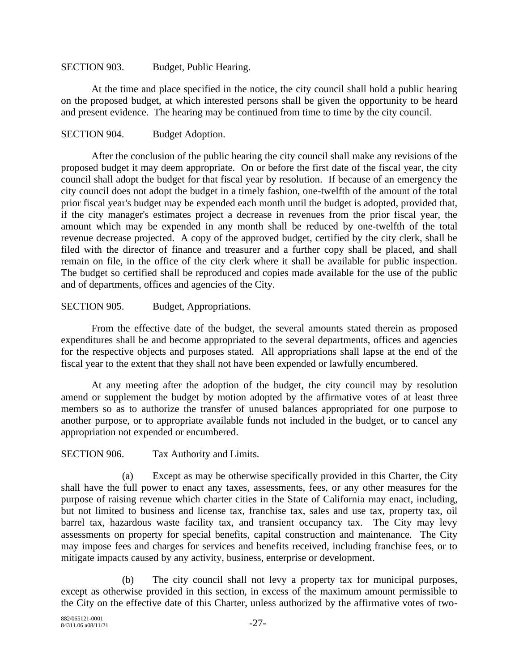#### SECTION 903. Budget, Public Hearing.

At the time and place specified in the notice, the city council shall hold a public hearing on the proposed budget, at which interested persons shall be given the opportunity to be heard and present evidence. The hearing may be continued from time to time by the city council.

## SECTION 904. Budget Adoption.

After the conclusion of the public hearing the city council shall make any revisions of the proposed budget it may deem appropriate. On or before the first date of the fiscal year, the city council shall adopt the budget for that fiscal year by resolution. If because of an emergency the city council does not adopt the budget in a timely fashion, one-twelfth of the amount of the total prior fiscal year's budget may be expended each month until the budget is adopted, provided that, if the city manager's estimates project a decrease in revenues from the prior fiscal year, the amount which may be expended in any month shall be reduced by one-twelfth of the total revenue decrease projected. A copy of the approved budget, certified by the city clerk, shall be filed with the director of finance and treasurer and a further copy shall be placed, and shall remain on file, in the office of the city clerk where it shall be available for public inspection. The budget so certified shall be reproduced and copies made available for the use of the public and of departments, offices and agencies of the City.

#### SECTION 905. Budget, Appropriations.

From the effective date of the budget, the several amounts stated therein as proposed expenditures shall be and become appropriated to the several departments, offices and agencies for the respective objects and purposes stated. All appropriations shall lapse at the end of the fiscal year to the extent that they shall not have been expended or lawfully encumbered.

At any meeting after the adoption of the budget, the city council may by resolution amend or supplement the budget by motion adopted by the affirmative votes of at least three members so as to authorize the transfer of unused balances appropriated for one purpose to another purpose, or to appropriate available funds not included in the budget, or to cancel any appropriation not expended or encumbered.

SECTION 906. Tax Authority and Limits.

(a) Except as may be otherwise specifically provided in this Charter, the City shall have the full power to enact any taxes, assessments, fees, or any other measures for the purpose of raising revenue which charter cities in the State of California may enact, including, but not limited to business and license tax, franchise tax, sales and use tax, property tax, oil barrel tax, hazardous waste facility tax, and transient occupancy tax. The City may levy assessments on property for special benefits, capital construction and maintenance. The City may impose fees and charges for services and benefits received, including franchise fees, or to mitigate impacts caused by any activity, business, enterprise or development.

(b) The city council shall not levy a property tax for municipal purposes, except as otherwise provided in this section, in excess of the maximum amount permissible to the City on the effective date of this Charter, unless authorized by the affirmative votes of two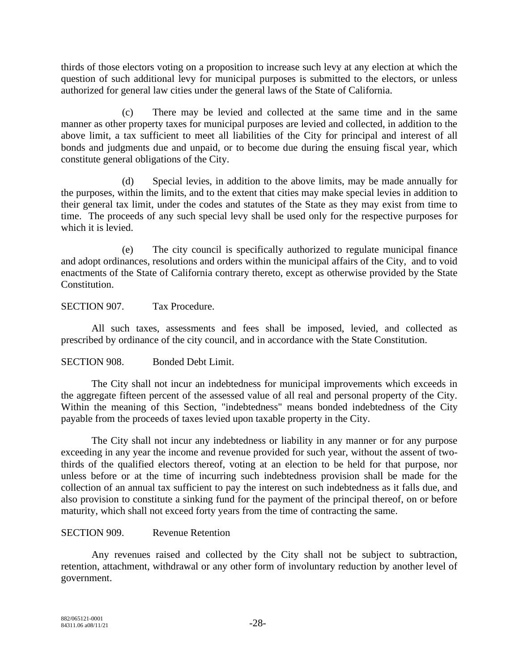thirds of those electors voting on a proposition to increase such levy at any election at which the question of such additional levy for municipal purposes is submitted to the electors, or unless authorized for general law cities under the general laws of the State of California.

(c) There may be levied and collected at the same time and in the same manner as other property taxes for municipal purposes are levied and collected, in addition to the above limit, a tax sufficient to meet all liabilities of the City for principal and interest of all bonds and judgments due and unpaid, or to become due during the ensuing fiscal year, which constitute general obligations of the City.

(d) Special levies, in addition to the above limits, may be made annually for the purposes, within the limits, and to the extent that cities may make special levies in addition to their general tax limit, under the codes and statutes of the State as they may exist from time to time. The proceeds of any such special levy shall be used only for the respective purposes for which it is levied.

(e) The city council is specifically authorized to regulate municipal finance and adopt ordinances, resolutions and orders within the municipal affairs of the City, and to void enactments of the State of California contrary thereto, except as otherwise provided by the State Constitution.

SECTION 907. Tax Procedure.

All such taxes, assessments and fees shall be imposed, levied, and collected as prescribed by ordinance of the city council, and in accordance with the State Constitution.

SECTION 908. Bonded Debt Limit.

The City shall not incur an indebtedness for municipal improvements which exceeds in the aggregate fifteen percent of the assessed value of all real and personal property of the City. Within the meaning of this Section, "indebtedness" means bonded indebtedness of the City payable from the proceeds of taxes levied upon taxable property in the City.

The City shall not incur any indebtedness or liability in any manner or for any purpose exceeding in any year the income and revenue provided for such year, without the assent of twothirds of the qualified electors thereof, voting at an election to be held for that purpose, nor unless before or at the time of incurring such indebtedness provision shall be made for the collection of an annual tax sufficient to pay the interest on such indebtedness as it falls due, and also provision to constitute a sinking fund for the payment of the principal thereof, on or before maturity, which shall not exceed forty years from the time of contracting the same.

## SECTION 909. Revenue Retention

Any revenues raised and collected by the City shall not be subject to subtraction, retention, attachment, withdrawal or any other form of involuntary reduction by another level of government.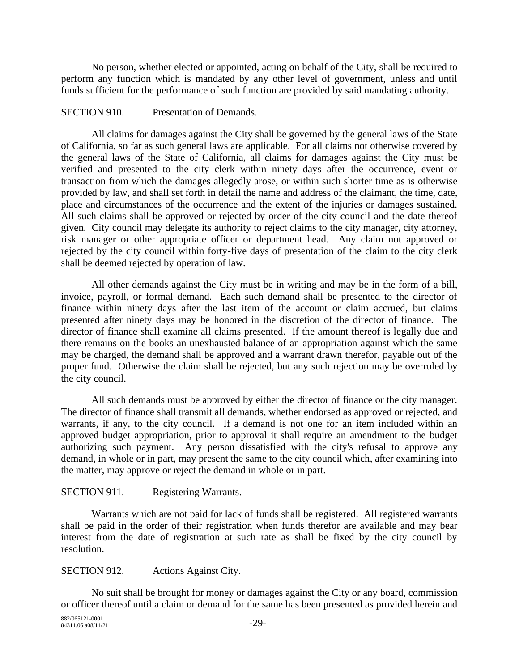No person, whether elected or appointed, acting on behalf of the City, shall be required to perform any function which is mandated by any other level of government, unless and until funds sufficient for the performance of such function are provided by said mandating authority.

#### SECTION 910. Presentation of Demands.

All claims for damages against the City shall be governed by the general laws of the State of California, so far as such general laws are applicable. For all claims not otherwise covered by the general laws of the State of California, all claims for damages against the City must be verified and presented to the city clerk within ninety days after the occurrence, event or transaction from which the damages allegedly arose, or within such shorter time as is otherwise provided by law, and shall set forth in detail the name and address of the claimant, the time, date, place and circumstances of the occurrence and the extent of the injuries or damages sustained. All such claims shall be approved or rejected by order of the city council and the date thereof given. City council may delegate its authority to reject claims to the city manager, city attorney, risk manager or other appropriate officer or department head. Any claim not approved or rejected by the city council within forty-five days of presentation of the claim to the city clerk shall be deemed rejected by operation of law.

All other demands against the City must be in writing and may be in the form of a bill, invoice, payroll, or formal demand. Each such demand shall be presented to the director of finance within ninety days after the last item of the account or claim accrued, but claims presented after ninety days may be honored in the discretion of the director of finance. The director of finance shall examine all claims presented. If the amount thereof is legally due and there remains on the books an unexhausted balance of an appropriation against which the same may be charged, the demand shall be approved and a warrant drawn therefor, payable out of the proper fund. Otherwise the claim shall be rejected, but any such rejection may be overruled by the city council.

All such demands must be approved by either the director of finance or the city manager. The director of finance shall transmit all demands, whether endorsed as approved or rejected, and warrants, if any, to the city council. If a demand is not one for an item included within an approved budget appropriation, prior to approval it shall require an amendment to the budget authorizing such payment. Any person dissatisfied with the city's refusal to approve any demand, in whole or in part, may present the same to the city council which, after examining into the matter, may approve or reject the demand in whole or in part.

## SECTION 911. Registering Warrants.

Warrants which are not paid for lack of funds shall be registered. All registered warrants shall be paid in the order of their registration when funds therefor are available and may bear interest from the date of registration at such rate as shall be fixed by the city council by resolution.

SECTION 912. Actions Against City.

No suit shall be brought for money or damages against the City or any board, commission or officer thereof until a claim or demand for the same has been presented as provided herein and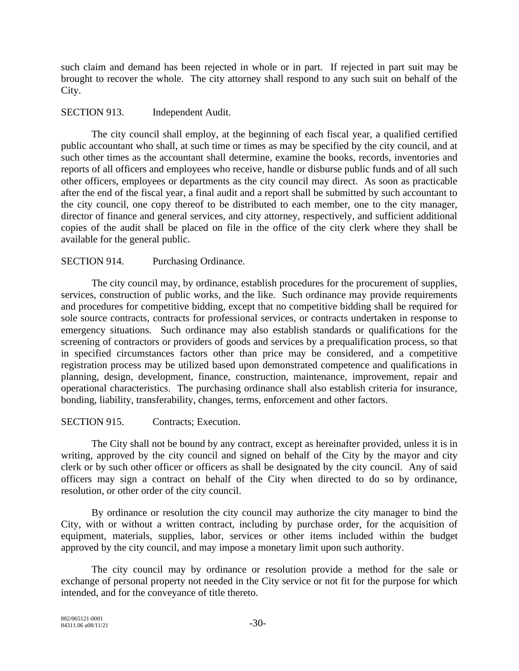such claim and demand has been rejected in whole or in part. If rejected in part suit may be brought to recover the whole. The city attorney shall respond to any such suit on behalf of the City.

#### SECTION 913. Independent Audit.

The city council shall employ, at the beginning of each fiscal year, a qualified certified public accountant who shall, at such time or times as may be specified by the city council, and at such other times as the accountant shall determine, examine the books, records, inventories and reports of all officers and employees who receive, handle or disburse public funds and of all such other officers, employees or departments as the city council may direct. As soon as practicable after the end of the fiscal year, a final audit and a report shall be submitted by such accountant to the city council, one copy thereof to be distributed to each member, one to the city manager, director of finance and general services, and city attorney, respectively, and sufficient additional copies of the audit shall be placed on file in the office of the city clerk where they shall be available for the general public.

#### SECTION 914. Purchasing Ordinance.

The city council may, by ordinance, establish procedures for the procurement of supplies, services, construction of public works, and the like. Such ordinance may provide requirements and procedures for competitive bidding, except that no competitive bidding shall be required for sole source contracts, contracts for professional services, or contracts undertaken in response to emergency situations. Such ordinance may also establish standards or qualifications for the screening of contractors or providers of goods and services by a prequalification process, so that in specified circumstances factors other than price may be considered, and a competitive registration process may be utilized based upon demonstrated competence and qualifications in planning, design, development, finance, construction, maintenance, improvement, repair and operational characteristics. The purchasing ordinance shall also establish criteria for insurance, bonding, liability, transferability, changes, terms, enforcement and other factors.

#### SECTION 915. Contracts: Execution.

The City shall not be bound by any contract, except as hereinafter provided, unless it is in writing, approved by the city council and signed on behalf of the City by the mayor and city clerk or by such other officer or officers as shall be designated by the city council. Any of said officers may sign a contract on behalf of the City when directed to do so by ordinance, resolution, or other order of the city council.

By ordinance or resolution the city council may authorize the city manager to bind the City, with or without a written contract, including by purchase order, for the acquisition of equipment, materials, supplies, labor, services or other items included within the budget approved by the city council, and may impose a monetary limit upon such authority.

The city council may by ordinance or resolution provide a method for the sale or exchange of personal property not needed in the City service or not fit for the purpose for which intended, and for the conveyance of title thereto.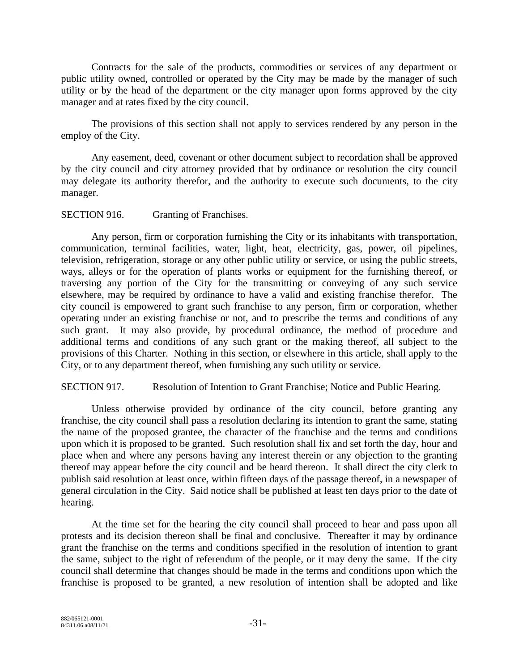Contracts for the sale of the products, commodities or services of any department or public utility owned, controlled or operated by the City may be made by the manager of such utility or by the head of the department or the city manager upon forms approved by the city manager and at rates fixed by the city council.

The provisions of this section shall not apply to services rendered by any person in the employ of the City.

Any easement, deed, covenant or other document subject to recordation shall be approved by the city council and city attorney provided that by ordinance or resolution the city council may delegate its authority therefor, and the authority to execute such documents, to the city manager.

#### SECTION 916. Granting of Franchises.

Any person, firm or corporation furnishing the City or its inhabitants with transportation, communication, terminal facilities, water, light, heat, electricity, gas, power, oil pipelines, television, refrigeration, storage or any other public utility or service, or using the public streets, ways, alleys or for the operation of plants works or equipment for the furnishing thereof, or traversing any portion of the City for the transmitting or conveying of any such service elsewhere, may be required by ordinance to have a valid and existing franchise therefor. The city council is empowered to grant such franchise to any person, firm or corporation, whether operating under an existing franchise or not, and to prescribe the terms and conditions of any such grant. It may also provide, by procedural ordinance, the method of procedure and additional terms and conditions of any such grant or the making thereof, all subject to the provisions of this Charter. Nothing in this section, or elsewhere in this article, shall apply to the City, or to any department thereof, when furnishing any such utility or service.

#### SECTION 917. Resolution of Intention to Grant Franchise; Notice and Public Hearing.

Unless otherwise provided by ordinance of the city council, before granting any franchise, the city council shall pass a resolution declaring its intention to grant the same, stating the name of the proposed grantee, the character of the franchise and the terms and conditions upon which it is proposed to be granted. Such resolution shall fix and set forth the day, hour and place when and where any persons having any interest therein or any objection to the granting thereof may appear before the city council and be heard thereon. It shall direct the city clerk to publish said resolution at least once, within fifteen days of the passage thereof, in a newspaper of general circulation in the City. Said notice shall be published at least ten days prior to the date of hearing.

At the time set for the hearing the city council shall proceed to hear and pass upon all protests and its decision thereon shall be final and conclusive. Thereafter it may by ordinance grant the franchise on the terms and conditions specified in the resolution of intention to grant the same, subject to the right of referendum of the people, or it may deny the same. If the city council shall determine that changes should be made in the terms and conditions upon which the franchise is proposed to be granted, a new resolution of intention shall be adopted and like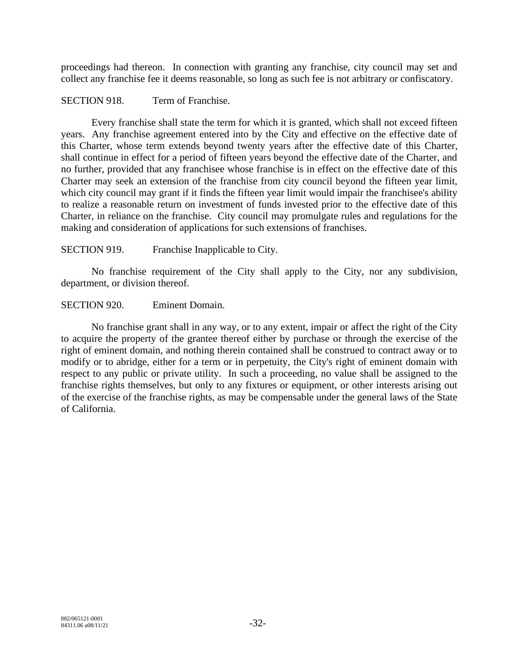proceedings had thereon. In connection with granting any franchise, city council may set and collect any franchise fee it deems reasonable, so long as such fee is not arbitrary or confiscatory.

#### SECTION 918. Term of Franchise.

Every franchise shall state the term for which it is granted, which shall not exceed fifteen years. Any franchise agreement entered into by the City and effective on the effective date of this Charter, whose term extends beyond twenty years after the effective date of this Charter, shall continue in effect for a period of fifteen years beyond the effective date of the Charter, and no further, provided that any franchisee whose franchise is in effect on the effective date of this Charter may seek an extension of the franchise from city council beyond the fifteen year limit, which city council may grant if it finds the fifteen year limit would impair the franchisee's ability to realize a reasonable return on investment of funds invested prior to the effective date of this Charter, in reliance on the franchise. City council may promulgate rules and regulations for the making and consideration of applications for such extensions of franchises.

#### SECTION 919. Franchise Inapplicable to City.

No franchise requirement of the City shall apply to the City, nor any subdivision, department, or division thereof.

#### SECTION 920. Eminent Domain.

No franchise grant shall in any way, or to any extent, impair or affect the right of the City to acquire the property of the grantee thereof either by purchase or through the exercise of the right of eminent domain, and nothing therein contained shall be construed to contract away or to modify or to abridge, either for a term or in perpetuity, the City's right of eminent domain with respect to any public or private utility. In such a proceeding, no value shall be assigned to the franchise rights themselves, but only to any fixtures or equipment, or other interests arising out of the exercise of the franchise rights, as may be compensable under the general laws of the State of California.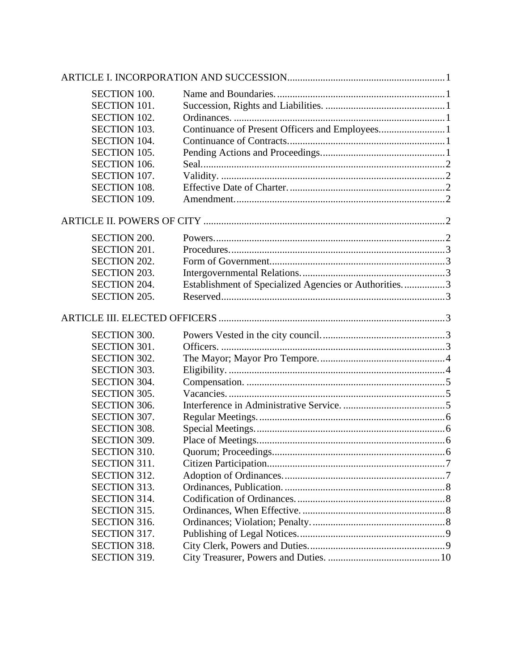| <b>SECTION 100.</b><br><b>SECTION 101.</b><br><b>SECTION 102.</b><br>Continuance of Present Officers and Employees1<br><b>SECTION 103.</b><br><b>SECTION 104.</b><br><b>SECTION 105.</b><br><b>SECTION 106.</b><br>SECTION 107.<br><b>SECTION 108.</b><br><b>SECTION 109.</b><br><b>SECTION 200.</b><br><b>SECTION 201.</b><br><b>SECTION 202.</b><br>SECTION 203.<br>Establishment of Specialized Agencies or Authorities3<br><b>SECTION 204.</b><br>SECTION 205.<br><b>SECTION 300.</b><br><b>SECTION 301.</b><br><b>SECTION 302.</b><br><b>SECTION 303.</b><br><b>SECTION 304.</b><br><b>SECTION 305.</b><br><b>SECTION 306.</b><br>SECTION 307.<br><b>SECTION 308.</b><br><b>SECTION 309.</b><br><b>SECTION 310.</b><br><b>SECTION 311.</b><br><b>SECTION 312.</b><br><b>SECTION 313.</b><br><b>SECTION 314.</b><br><b>SECTION 315.</b><br><b>SECTION 316.</b><br>SECTION 317.<br><b>SECTION 318.</b><br><b>SECTION 319.</b> |  |  |
|----------------------------------------------------------------------------------------------------------------------------------------------------------------------------------------------------------------------------------------------------------------------------------------------------------------------------------------------------------------------------------------------------------------------------------------------------------------------------------------------------------------------------------------------------------------------------------------------------------------------------------------------------------------------------------------------------------------------------------------------------------------------------------------------------------------------------------------------------------------------------------------------------------------------------------|--|--|
|                                                                                                                                                                                                                                                                                                                                                                                                                                                                                                                                                                                                                                                                                                                                                                                                                                                                                                                                  |  |  |
|                                                                                                                                                                                                                                                                                                                                                                                                                                                                                                                                                                                                                                                                                                                                                                                                                                                                                                                                  |  |  |
|                                                                                                                                                                                                                                                                                                                                                                                                                                                                                                                                                                                                                                                                                                                                                                                                                                                                                                                                  |  |  |
|                                                                                                                                                                                                                                                                                                                                                                                                                                                                                                                                                                                                                                                                                                                                                                                                                                                                                                                                  |  |  |
|                                                                                                                                                                                                                                                                                                                                                                                                                                                                                                                                                                                                                                                                                                                                                                                                                                                                                                                                  |  |  |
|                                                                                                                                                                                                                                                                                                                                                                                                                                                                                                                                                                                                                                                                                                                                                                                                                                                                                                                                  |  |  |
|                                                                                                                                                                                                                                                                                                                                                                                                                                                                                                                                                                                                                                                                                                                                                                                                                                                                                                                                  |  |  |
|                                                                                                                                                                                                                                                                                                                                                                                                                                                                                                                                                                                                                                                                                                                                                                                                                                                                                                                                  |  |  |
|                                                                                                                                                                                                                                                                                                                                                                                                                                                                                                                                                                                                                                                                                                                                                                                                                                                                                                                                  |  |  |
|                                                                                                                                                                                                                                                                                                                                                                                                                                                                                                                                                                                                                                                                                                                                                                                                                                                                                                                                  |  |  |
|                                                                                                                                                                                                                                                                                                                                                                                                                                                                                                                                                                                                                                                                                                                                                                                                                                                                                                                                  |  |  |
|                                                                                                                                                                                                                                                                                                                                                                                                                                                                                                                                                                                                                                                                                                                                                                                                                                                                                                                                  |  |  |
|                                                                                                                                                                                                                                                                                                                                                                                                                                                                                                                                                                                                                                                                                                                                                                                                                                                                                                                                  |  |  |
|                                                                                                                                                                                                                                                                                                                                                                                                                                                                                                                                                                                                                                                                                                                                                                                                                                                                                                                                  |  |  |
|                                                                                                                                                                                                                                                                                                                                                                                                                                                                                                                                                                                                                                                                                                                                                                                                                                                                                                                                  |  |  |
|                                                                                                                                                                                                                                                                                                                                                                                                                                                                                                                                                                                                                                                                                                                                                                                                                                                                                                                                  |  |  |
|                                                                                                                                                                                                                                                                                                                                                                                                                                                                                                                                                                                                                                                                                                                                                                                                                                                                                                                                  |  |  |
|                                                                                                                                                                                                                                                                                                                                                                                                                                                                                                                                                                                                                                                                                                                                                                                                                                                                                                                                  |  |  |
|                                                                                                                                                                                                                                                                                                                                                                                                                                                                                                                                                                                                                                                                                                                                                                                                                                                                                                                                  |  |  |
|                                                                                                                                                                                                                                                                                                                                                                                                                                                                                                                                                                                                                                                                                                                                                                                                                                                                                                                                  |  |  |
|                                                                                                                                                                                                                                                                                                                                                                                                                                                                                                                                                                                                                                                                                                                                                                                                                                                                                                                                  |  |  |
|                                                                                                                                                                                                                                                                                                                                                                                                                                                                                                                                                                                                                                                                                                                                                                                                                                                                                                                                  |  |  |
|                                                                                                                                                                                                                                                                                                                                                                                                                                                                                                                                                                                                                                                                                                                                                                                                                                                                                                                                  |  |  |
|                                                                                                                                                                                                                                                                                                                                                                                                                                                                                                                                                                                                                                                                                                                                                                                                                                                                                                                                  |  |  |
|                                                                                                                                                                                                                                                                                                                                                                                                                                                                                                                                                                                                                                                                                                                                                                                                                                                                                                                                  |  |  |
|                                                                                                                                                                                                                                                                                                                                                                                                                                                                                                                                                                                                                                                                                                                                                                                                                                                                                                                                  |  |  |
|                                                                                                                                                                                                                                                                                                                                                                                                                                                                                                                                                                                                                                                                                                                                                                                                                                                                                                                                  |  |  |
|                                                                                                                                                                                                                                                                                                                                                                                                                                                                                                                                                                                                                                                                                                                                                                                                                                                                                                                                  |  |  |
|                                                                                                                                                                                                                                                                                                                                                                                                                                                                                                                                                                                                                                                                                                                                                                                                                                                                                                                                  |  |  |
|                                                                                                                                                                                                                                                                                                                                                                                                                                                                                                                                                                                                                                                                                                                                                                                                                                                                                                                                  |  |  |
|                                                                                                                                                                                                                                                                                                                                                                                                                                                                                                                                                                                                                                                                                                                                                                                                                                                                                                                                  |  |  |
|                                                                                                                                                                                                                                                                                                                                                                                                                                                                                                                                                                                                                                                                                                                                                                                                                                                                                                                                  |  |  |
|                                                                                                                                                                                                                                                                                                                                                                                                                                                                                                                                                                                                                                                                                                                                                                                                                                                                                                                                  |  |  |
|                                                                                                                                                                                                                                                                                                                                                                                                                                                                                                                                                                                                                                                                                                                                                                                                                                                                                                                                  |  |  |
|                                                                                                                                                                                                                                                                                                                                                                                                                                                                                                                                                                                                                                                                                                                                                                                                                                                                                                                                  |  |  |
|                                                                                                                                                                                                                                                                                                                                                                                                                                                                                                                                                                                                                                                                                                                                                                                                                                                                                                                                  |  |  |
|                                                                                                                                                                                                                                                                                                                                                                                                                                                                                                                                                                                                                                                                                                                                                                                                                                                                                                                                  |  |  |
|                                                                                                                                                                                                                                                                                                                                                                                                                                                                                                                                                                                                                                                                                                                                                                                                                                                                                                                                  |  |  |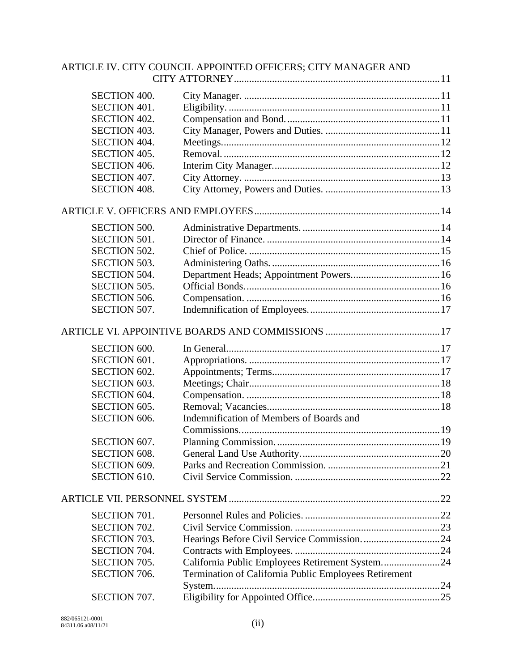|                     | ARTICLE IV. CITY COUNCIL APPOINTED OFFICERS; CITY MANAGER AND |  |
|---------------------|---------------------------------------------------------------|--|
|                     |                                                               |  |
| <b>SECTION 400.</b> |                                                               |  |
| <b>SECTION 401.</b> |                                                               |  |
| <b>SECTION 402.</b> |                                                               |  |
| SECTION 403.        |                                                               |  |
| <b>SECTION 404.</b> |                                                               |  |
| <b>SECTION 405.</b> |                                                               |  |
| <b>SECTION 406.</b> |                                                               |  |
| SECTION 407.        |                                                               |  |
| <b>SECTION 408.</b> |                                                               |  |
|                     |                                                               |  |
| <b>SECTION 500.</b> |                                                               |  |
| <b>SECTION 501.</b> |                                                               |  |
| <b>SECTION 502.</b> |                                                               |  |
| <b>SECTION 503.</b> |                                                               |  |
| <b>SECTION 504.</b> |                                                               |  |
| <b>SECTION 505.</b> |                                                               |  |
| <b>SECTION 506.</b> |                                                               |  |
| SECTION 507.        |                                                               |  |
|                     |                                                               |  |
|                     |                                                               |  |
| <b>SECTION 600.</b> |                                                               |  |
| SECTION 601.        |                                                               |  |
| <b>SECTION 602.</b> |                                                               |  |
| <b>SECTION 603.</b> |                                                               |  |
| SECTION 604.        |                                                               |  |
| SECTION 605.        |                                                               |  |
| <b>SECTION 606.</b> | Indemnification of Members of Boards and                      |  |
|                     |                                                               |  |
| SECTION 607.        |                                                               |  |
| <b>SECTION 608.</b> |                                                               |  |
| SECTION 609.        |                                                               |  |
| <b>SECTION 610.</b> |                                                               |  |
|                     |                                                               |  |
| SECTION 701.        |                                                               |  |
| <b>SECTION 702.</b> |                                                               |  |
| <b>SECTION 703.</b> |                                                               |  |
| SECTION 704.        |                                                               |  |
| <b>SECTION 705.</b> | California Public Employees Retirement System24               |  |
| <b>SECTION 706.</b> | Termination of California Public Employees Retirement         |  |
|                     |                                                               |  |
| SECTION 707.        |                                                               |  |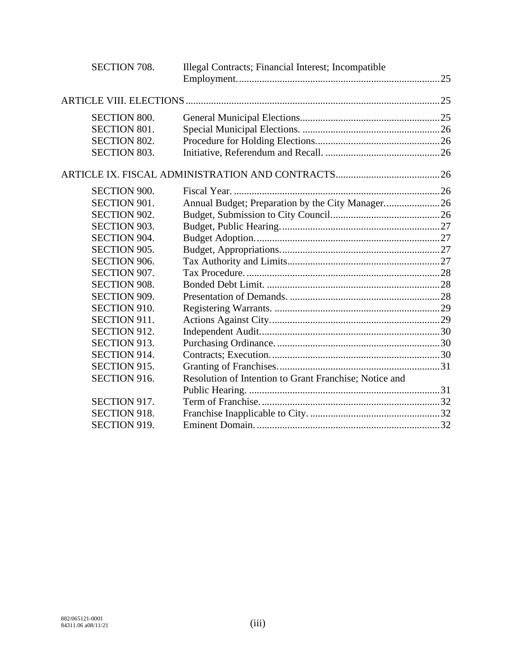| SECTION 708.        | Illegal Contracts; Financial Interest; Incompatible    |  |
|---------------------|--------------------------------------------------------|--|
|                     |                                                        |  |
|                     |                                                        |  |
|                     |                                                        |  |
| <b>SECTION 800.</b> |                                                        |  |
| <b>SECTION 801.</b> |                                                        |  |
| <b>SECTION 802.</b> |                                                        |  |
| <b>SECTION 803.</b> |                                                        |  |
|                     |                                                        |  |
| <b>SECTION 900.</b> |                                                        |  |
| SECTION 901.        | Annual Budget; Preparation by the City Manager26       |  |
| <b>SECTION 902.</b> |                                                        |  |
| <b>SECTION 903.</b> |                                                        |  |
| <b>SECTION 904.</b> |                                                        |  |
| <b>SECTION 905.</b> |                                                        |  |
| <b>SECTION 906.</b> |                                                        |  |
| SECTION 907.        |                                                        |  |
| <b>SECTION 908.</b> |                                                        |  |
| SECTION 909.        |                                                        |  |
| <b>SECTION 910.</b> |                                                        |  |
| SECTION 911.        |                                                        |  |
| SECTION 912.        |                                                        |  |
| <b>SECTION 913.</b> |                                                        |  |
| SECTION 914.        |                                                        |  |
| SECTION 915.        |                                                        |  |
| SECTION 916.        | Resolution of Intention to Grant Franchise; Notice and |  |
|                     |                                                        |  |
| SECTION 917.        |                                                        |  |
| <b>SECTION 918.</b> |                                                        |  |
| SECTION 919.        |                                                        |  |